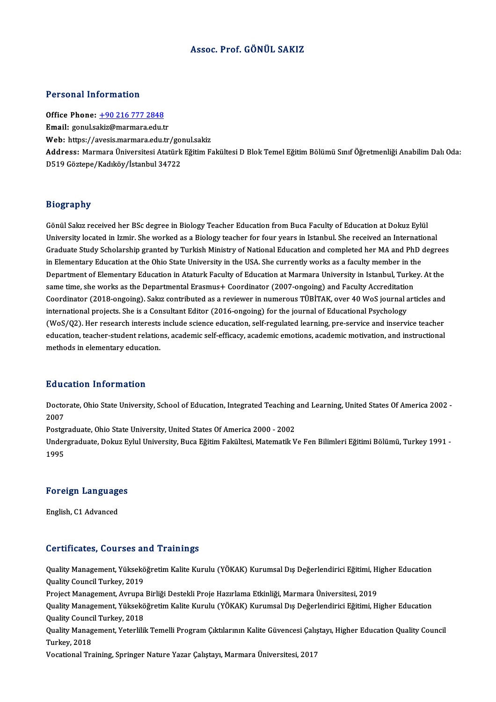### Assoc. Prof. GÖNÜL SAKIZ

### Personal Information

Office Phone: +90 216 777 2848 Email: gonul.s[akiz@marmara.edu.t](tel:+90 216 777 2848)r Office Phone: <u>+90 216 777 2848</u><br>Email: gonul.sakiz@marmara.edu.tr<br>Web: https://avesis.marmara.edu.tr/gonul.sakiz<br>Address: Marmara Üniversitesi Atatürk Făitim E. Address: Marmara Üniversitesi Atatürk Eğitim Fakültesi D Blok Temel Eğitim Bölümü Sınıf Öğretmenliği Anabilim Dalı Oda:<br>D519 Göztepe/Kadıköy/İstanbul 34722 **Web: https://avesis.marmara.edu.tr/goi<br>Address: Marmara Üniversitesi Atatürk<br>D519 Göztepe/Kadıköy/İstanbul 34722** 

### Biography

Bi<mark>ography</mark><br>Gönül Sakız received her BSc degree in Biology Teacher Education from Buca Faculty of Education at Dokuz Eylül<br>University located in Ismir. She worked as a Biology teacher for four years in Istanbul, She reseiv University<br>Gönül Sakız received her BSc degree in Biology Teacher Education from Buca Faculty of Education at Dokuz Eylül<br>University located in Izmir. She worked as a Biology teacher for four years in Istanbul. She receive Gönül Sakız received her BSc degree in Biology Teacher Education from Buca Faculty of Education at Dokuz Eylül<br>University located in Izmir. She worked as a Biology teacher for four years in Istanbul. She received an Intern University located in Izmir. She worked as a Biology teacher for four years in Istanbul. She received an International<br>Graduate Study Scholarship granted by Turkish Ministry of National Education and completed her MA and P Graduate Study Scholarship granted by Turkish Ministry of National Education and completed her MA and PhD degrees in Elementary Education at the Ohio State University in the USA. She currently works as a faculty member in th<br>Department of Elementary Education in Ataturk Faculty of Education at Marmara University in Istanbul, Turke<br>sam Coordinator (2018-ongoing). Sakız contributed as a reviewer in numerous TÜBİTAK, over 40 WoS journal articles and<br>international projects. She is a Consultant Editor (2016-ongoing) for the journal of Educational Psychology same time, she works as the Departmental Erasmus+ Coordinator (2007-ongoing) and Faculty Accreditatio<br>Coordinator (2018-ongoing). Sakız contributed as a reviewer in numerous TÜBİTAK, over 40 WoS journal a<br>international pro Coordinator (2018-ongoing). Sakız contributed as a reviewer in numerous TÜBİTAK, over 40 WoS journal articles and<br>international projects. She is a Consultant Editor (2016-ongoing) for the journal of Educational Psychology<br> international projects. She is a Consultant Editor (2016-ongoing) for the journal of Educational Psychology<br>(WoS/Q2). Her research interests include science education, self-regulated learning, pre-service and inservice tea (WoS/Q2). Her research interests<br>education, teacher-student relation<br>methods in elementary education. methods in elementary education.<br>Education Information

**Education Information**<br>Doctorate, Ohio State University, School of Education, Integrated Teaching and Learning, United States Of America 2002 -<br>2007 Data<br>Docto<br>2007 Doctorate, Ohio State University, School of Education, Integrated Teaching<br>2007<br>Postgraduate, Ohio State University, United States Of America 2000 - 2002<br>Undergraduate, Dolug Fylul University, Puce Făitim Foltilitesi, Mate

2007<br>Postgraduate, Ohio State University, United States Of America 2000 - 2002<br>Undergraduate, Dokuz Eylul University, Buca Eğitim Fakültesi, Matematik Ve Fen Bilimleri Eğitimi Bölümü, Turkey 1991 -Postgi<br>Under<br>1995

# 1<sup>995</sup><br>Foreign Languages <mark>Foreign Languag</mark><br>English, C1 Advanced

# English, C1 Advanced<br>Certificates, Courses and Trainings

Certificates, Courses and Trainings<br>Quality Management, Yükseköğretim Kalite Kurulu (YÖKAK) Kurumsal Dış Değerlendirici Eğitimi, Higher Education<br>Quality Coungil Turkay, 2019 Quality Management, Yüksekö<br>Quality Council Turkey, 2019<br>Project Management, Aurune Quality Management, Yükseköğretim Kalite Kurulu (YÖKAK) Kurumsal Dış Değerlendirici Eğitimi, H<br>Quality Council Turkey, 2019<br>Project Management, Avrupa Birliği Destekli Proje Hazırlama Etkinliği, Marmara Üniversitesi, 2019<br> Quality Council Turkey, 2019<br>Project Management, Avrupa Birliği Destekli Proje Hazırlama Etkinliği, Marmara Üniversitesi, 2019<br>Quality Management, Yükseköğretim Kalite Kurulu (YÖKAK) Kurumsal Dış Değerlendirici Eğitimi, Hi Project Management, Avrupa<br>Quality Management, Yüksekö<br>Quality Council Turkey, 2018<br>Quality Management, Veterlili Quality Management, Yükseköğretim Kalite Kurulu (YÖKAK) Kurumsal Dış Değerlendirici Eğitimi, Higher Education<br>Quality Council Turkey, 2018<br>Quality Management, Yeterlilik Temelli Program Çıktılarının Kalite Güvencesi Çalışt Quality Counci<br>Quality Manag<br>Turkey, 2018<br>Vesstional Tra Quality Management, Yeterlilik Temelli Program Çıktılarının Kalite Güvencesi Çalış<br>Turkey, 2018<br>Vocational Training, Springer Nature Yazar Çalıştayı, Marmara Üniversitesi, 2017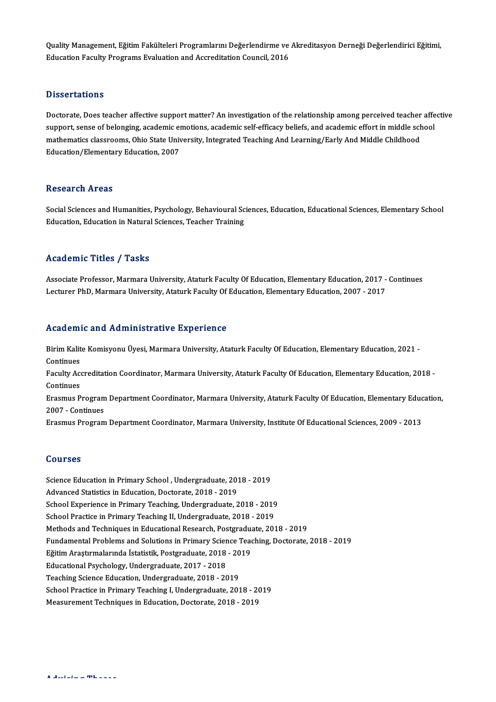Quality Management, Eğitim Fakülteleri Programlarını Değerlendirme ve Akreditasyon Derneği Değerlendirici Eğitimi,<br>Edusation Fasulty Programe Evalustion and Assueditation Council, 2016 Quality Management, Eğitim Fakülteleri Programlarını Değerlendirme ve<br>Education Faculty Programs Evaluation and Accreditation Council, 2016 Education Faculty Programs Evaluation and Accreditation Council, 2016<br>Dissertations

Dissertations<br>Doctorate, Does teacher affective support matter? An investigation of the relationship among perceived teacher affective<br>support, sanse of belanging, asademis emotions, asademis self efficesy beliefs, and asa support carrons<br>Doctorate, Does teacher affective support matter? An investigation of the relationship among perceived teacher affe<br>support, sense of belonging, academic emotions, academic self-efficacy beliefs, and academ Doctorate, Does teacher affective support matter? An investigation of the relationship among perceived teacher<br>support, sense of belonging, academic emotions, academic self-efficacy beliefs, and academic effort in middle s support, sense of belonging, academic emotions, academic self-efficacy beliefs, and academic effort in middle school<br>mathematics classrooms, Ohio State University, Integrated Teaching And Learning/Early And Middle Childhoo

### **Research Areas**

Research Areas<br>Social Sciences and Humanities, Psychology, Behavioural Sciences, Education, Educational Sciences, Elementary School<br>Education, Education in Natural Sciences, Teacher Training Resear en Trieus<br>Social Sciences and Humanities, Psychology, Behavioural Sc<br>Education, Education in Natural Sciences, Teacher Training Education, Education in Natural Sciences, Teacher Training<br>Academic Titles / Tasks

Academic Titles / Tasks<br>Associate Professor, Marmara University, Ataturk Faculty Of Education, Elementary Education, 2017 - Continues<br>Lecturer PhD, Marmara University, Ataturk Faculty Of Education, Elementary Education, 20 Lecturer Prefes, 7 Tublis<br>Associate Professor, Marmara University, Ataturk Faculty Of Education, Elementary Education, 2017 -<br>Lecturer PhD, Marmara University, Ataturk Faculty Of Education, Elementary Education, 2007 - 201 Lecturer PhD, Marmara University, Ataturk Faculty Of Education, Elementary Education, 2007 - 2017<br>Academic and Administrative Experience

Academic and Administrative Experience<br>Birim Kalite Komisyonu Üyesi, Marmara University, Ataturk Faculty Of Education, Elementary Education, 2021 -<br>Continues Birim Kalit<br>Continues<br>Eaculty Ac Birim Kalite Komisyonu Üyesi, Marmara University, Ataturk Faculty Of Education, Elementary Education, 2021 -<br>Continues<br>Faculty Accreditation Coordinator, Marmara University, Ataturk Faculty Of Education, Elementary Educati Continues<br>Faculty Ace<br>Continues<br>Freemue P Faculty Accreditation Coordinator, Marmara University, Ataturk Faculty Of Education, Elementary Education, 2018<br>Continues<br>Erasmus Program Department Coordinator, Marmara University, Ataturk Faculty Of Education, Elementary Continues<br>Erasmus Program<br>2007 - Continues<br>Erasmus Program Erasmus Program Department Coordinator, Marmara University, Ataturk Faculty Of Education, Elementary Educ<br>2007 - Continues<br>Erasmus Program Department Coordinator, Marmara University, Institute Of Educational Sciences, 2009 Erasmus Program Department Coordinator, Marmara University, Institute Of Educational Sciences, 2009 - 2013<br>Courses

Science Education in Primary School , Undergraduate, 2018 - 2019 Advanced Statistics in Education, Doctorate, 2018 - 2019 Science Education in Primary School , Undergraduate, 2018 - 2019<br>Advanced Statistics in Education, Doctorate, 2018 - 2019<br>School Experience in Primary Teaching, Undergraduate, 2018 - 2019<br>School Pregties in Primary Teachin Advanced Statistics in Education, Doctorate, 2018 - 2019<br>School Experience in Primary Teaching, Undergraduate, 2018 - 2019<br>School Practice in Primary Teaching II, Undergraduate, 2018 - 2019<br>Methods and Techniques in Educat School Experience in Primary Teaching, Undergraduate, 2018 - 2019<br>School Practice in Primary Teaching II, Undergraduate, 2018 - 2019<br>Methods and Techniques in Educational Research, Postgraduate, 2018 - 2019<br>Eundemental Pro School Practice in Primary Teaching II, Undergraduate, 2018 - 2019<br>Methods and Techniques in Educational Research, Postgraduate, 2018 - 2019<br>Fundamental Problems and Solutions in Primary Science Teaching, Doctorate, 2018 -Methods and Techniques in Educational Research, Postgraduation<br>Aragtimara Problems and Solutions in Primary Science Tead<br>Eğitim Araştırmalarında İstatistik, Postgraduate, 2018 - 2019<br>Educational Baychology, Undergraduate, Fundamental Problems and Solutions in Primary Scien<br>Eğitim Araştırmalarında İstatistik, Postgraduate, 2018<br>Educational Psychology, Undergraduate, 2017 - 2018<br>Teashing Science Education, Undergraduate, 2019 - 20 Eğitim Araştırmalarında İstatistik, Postgraduate, 2018 - 2019<br>Educational Psychology, Undergraduate, 2017 - 2018<br>Teaching Science Education, Undergraduate, 2018 - 2019 School Practice in Primary Teaching I, Undergraduate, 2018 - 2019 Measurement Techniques in Education, Doctorate, 2018 - 2019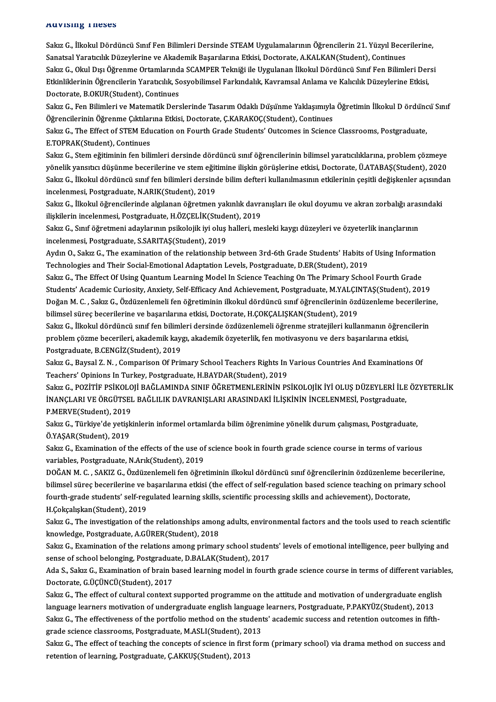### **Advising Ineses**

AQVISIN<mark>g I Neses</mark><br>Sakız G., İlkokul Dördüncü Sınıf Fen Bilimleri Dersinde STEAM Uygulamalarının Öğrencilerin 21. Yüzyıl Becerilerine,<br>Sanatasl Yanataylık Düreylerine ve Altademik Becerilerine Etkisi, Desterate, A.KALKAN(S rıcı v ising " inceces"<br>Sakız G., İlkokul Dördüncü Sınıf Fen Bilimleri Dersinde STEAM Uygulamalarının Öğrencilerin 21. Yüzyıl Bece<br>Salız G. Olul Dısı Öğrenme Ortamlarında SGAMPER Telmiği ile Uygularan İlkolul Dördüngü Sını Sakız G., İlkokul Dördüncü Sınıf Fen Bilimleri Dersinde STEAM Uygulamalarının Öğrencilerin 21. Yüzyıl Becerilerine,<br>Sanatsal Yaratıcılık Düzeylerine ve Akademik Başarılarına Etkisi, Doctorate, A.KALKAN(Student), Continues<br> Sanatsal Yaratıcılık Düzeylerine ve Akademik Başarılarına Etkisi, Doctorate, A.KALKAN(Student), Continues<br>Sakız G., Okul Dışı Öğrenme Ortamlarında SCAMPER Tekniği ile Uygulanan İlkokul Dördüncü Sınıf Fen Bilimleri Der<br>Etki Sakız G., Okul Dışı Öğrenme Ortamlarınd<br>Etkinliklerinin Öğrencilerin Yaratıcılık, So<br>Doctorate, B.OKUR(Student), Continues<br>Sakız G. Fon Bilimleri ve Matematik Ders Etkinliklerinin Öğrencilerin Yaratıcılık, Sosyobilimsel Farkındalık, Kavramsal Anlama ve Kalıcılık Düzeylerine Etkisi,<br>Doctorate, B.OKUR(Student), Continues<br>Sakız G., Fen Bilimleri ve Matematik Derslerinde Tasarım Odaklı D

Doctorate, B.OKUR(Student), Continues<br>Sakız G., Fen Bilimleri ve Matematik Derslerinde Tasarım Odaklı Düşünme Yaklaşımıyla<br>Öğrencilerinin Öğrenme Çıktılarına Etkisi, Doctorate, Ç.KARAKOÇ(Student), Continues<br>Sakız G., The E Sakız G., Fen Bilimleri ve Matematik Derslerinde Tasarım Odaklı Düşünme Yaklaşımıyla Öğretimin İlkokul D ördünc<br>Öğrencilerinin Öğrenme Çıktılarına Etkisi, Doctorate, Ç.KARAKOÇ(Student), Continues<br>Sakız G., The Effect of ST

Öğrencilerinin Öğrenme Çıktılarına Etkisi, Doctorate, Ç.KARAKOÇ(Student), Continues<br>Sakız G., The Effect of STEM Education on Fourth Grade Students' Outcomes in Science Classrooms, Postgraduate,<br>E.TOPRAK(Student), Continue Sakız G., The Effect of STEM Education on Fourth Grade Students' Outcomes in Science Classrooms, Postgraduate,<br>E.TOPRAK(Student), Continues<br>Sakız G., Stem eğitiminin fen bilimleri dersinde dördüncü sınıf öğrencilerinin bil

E.TOPRAK(Student), Continues<br>Sakız G., Stem eğitiminin fen bilimleri dersinde dördüncü sınıf öğrencilerinin bilimsel yaratıcılıklarına, problem çözmeye<br>yönelik yansıtıcı düşünme becerilerine ve stem eğitimine ilişkin görüş Sakız G., Stem eğitiminin fen bilimleri dersinde dördüncü sınıf öğrencilerinin bilimsel yaratıcılıklarına, problem çözmeye<br>yönelik yansıtıcı düşünme becerilerine ve stem eğitimine ilişkin görüşlerine etkisi, Doctorate, Ü.A yönelik yansıtıcı düşünme becerilerine ve stem eğitimine ilişkin görüşlerine etkisi, Doctorate, Ü.ATABAŞ(Student), 2020<br>Sakız G., İlkokul dördüncü sınıf fen bilimleri dersinde bilim defteri kullanılmasının etkilerinin çeşi Sakız G., İlkokul dördüncü sınıf fen bilimleri dersinde bilim defteri kullanılmasının etkilerinin çeşitli değişkenler açısındı<br>incelenmesi, Postgraduate, N.ARIK(Student), 2019<br>Sakız G., İlkokul öğrencilerinde algılanan öğr

incelenmesi, Postgraduate, N.ARIK(Student), 2019<br>Sakız G., İlkokul öğrencilerinde algılanan öğretmen yakınlık davra<br>ilişkilerin incelenmesi, Postgraduate, H.ÖZÇELİK(Student), 2019<br>Sakız G. Sınıf öğretmeni edevlerinin pelis Sakız G., İlkokul öğrencilerinde algılanan öğretmen yakınlık davranışları ile okul doyumu ve akran zorbalığı aras<br>ilişkilerin incelenmesi, Postgraduate, H.ÖZÇELİK(Student), 2019<br>Sakız G., Sınıf öğretmeni adaylarının psikol

ilişkilerin incelenmesi, Postgraduate, H.ÖZÇELİK(Student), 2019<br>Sakız G., Sınıf öğretmeni adaylarının psikolojik iyi oluş halleri, mesleki kaygı düzeyleri ve özyeterlik inançlarının<br>incelenmesi, Postgraduate, S.SARITAŞ(Stu Sakız G., Sınıf öğretmeni adaylarının psikolojik iyi oluş halleri, mesleki kaygı düzeyleri ve özyeterlik inançlarının

Technologies and Their Social-Emotional Adaptation Levels, Postgraduate, D.ER(Student), 2019

Sakız G., The Effect Of Using Quantum Learning Model In Science Teaching On The Primary School Fourth Grade Students' Academic Curiosity, Anxiety, Self-Efficacy And Achievement, Postgraduate, M.YALÇINTAŞ(Student), 2019 Sakız G., The Effect Of Using Quantum Learning Model In Science Teaching On The Primary School Fourth Grade<br>Students' Academic Curiosity, Anxiety, Self-Efficacy And Achievement, Postgraduate, M.YALÇINTAŞ(Student), 2019<br>Doğ bilimsel süreç becerilerine ve başarılarına etkisi, Doctorate, H.ÇOKÇALIŞKAN(Student), 2019 Doğan M. C. , Sakız G., Özdüzenlemeli fen öğretiminin ilkokul dördüncü sınıf öğrencilerinin özdüzenleme becerilerin<br>bilimsel süreç becerilerine ve başarılarına etkisi, Doctorate, H.ÇOKÇALIŞKAN(Student), 2019<br>Sakız G., İlko

bilimsel süreç becerilerine ve başarılarına etkisi, Doctorate, H.ÇOKÇALIŞKAN(Student), 2019<br>Sakız G., İlkokul dördüncü sınıf fen bilimleri dersinde özdüzenlemeli öğrenme stratejileri kullanmanın öğrend<br>problem çözme beceri Sakız G., İlkokul dördüncü sınıf fen bilimle<br>problem çözme becerileri, akademik kayı<br>Postgraduate, B.CENGİZ(Student), 2019<br>Saluz G. Payrel Z. N., Comparison Of Prit problem çözme becerileri, akademik kaygı, akademik özyeterlik, fen motivasyonu ve ders başarılarına etkisi,<br>Postgraduate, B.CENGİZ(Student), 2019<br>Sakız G., Baysal Z. N. , Comparison Of Primary School Teachers Rights In Var

Postgraduate, B.CENGİZ(Student), 2019<br>Sakız G., Baysal Z. N. , Comparison Of Primary School Teachers Rights In<br>Teachers' Opinions In Turkey, Postgraduate, H.BAYDAR(Student), 2019<br>Sakız G., POZİTİE PSİKOLOJİ BAĞLAMINDA SINI Sakız G., Baysal Z. N. , Comparison Of Primary School Teachers Rights In Various Countries And Examinations Of<br>Teachers' Opinions In Turkey, Postgraduate, H.BAYDAR(Student), 2019<br>Sakız G., POZİTİF PSİKOLOJİ BAĞLAMINDA SINI

Teachers' Opinions In Turkey, Postgraduate, H.BAYDAR(Student), 2019<br>Sakız G., POZİTİF PSİKOLOJİ BAĞLAMINDA SINIF ÖĞRETMENLERİNİN PSİKOLOJİK İYİ OLUŞ DÜZEYLERİ İLE<br>İNANÇLARI VE ÖRGÜTSEL BAĞLILIK DAVRANIŞLARI ARASINDAKİ İLİŞ Sakız G., POZİTİF PSİKOLO<br>İNANÇLARI VE ÖRGÜTSEI<br>P.MERVE(Student), 2019<br>Sakız G., Türkiya'da yatisk İNANÇLARI VE ÖRGÜTSEL BAĞLILIK DAVRANIŞLARI ARASINDAKİ İLİŞKİNİN İNCELENMESİ, Postgraduate,<br>P.MERVE(Student), 2019<br>Sakız G., Türkiye'de yetişkinlerin informel ortamlarda bilim öğrenimine yönelik durum çalışması, Postgradua

P.MERVE(Student), 2019<br>Sakız G., Türkiye'de yetişk<br>Ö.YAŞAR(Student), 2019<br>Sakız G., Evemination of t Sakız G., Türkiye'de yetişkinlerin informel ortamlarda bilim öğrenimine yönelik durum çalışması, Postgraduate,<br>Ö.YAŞAR(Student), 2019<br>Sakız G., Examination of the effects of the use of science book in fourth grade science

Ö.YAŞAR(Student), 2019<br>Sakız G., Examination of the effects of the use of science book in fourth grade science course in terms of various<br>variables, Postgraduate, N.Arık(Student), 2019

DOĞANM.C. ,SAKIZG.,Özdüzenlemeli fenöğretimininilkokuldördüncü sınıf öğrencilerininözdüzenleme becerilerine, bilimsel süreç becerilerine ve başarılarına etkisi (the effect of self-regulation based science teaching on primary school DOĞAN M. C. , SAKIZ G., Özdüzenlemeli fen öğretiminin ilkokul dördüncü sınıf öğrencilerinin özdüzenleme be<br>bilimsel süreç becerilerine ve başarılarına etkisi (the effect of self-regulation based science teaching on prim<br>fo bilimsel süreç becerilerine ve l<br>fourth-grade students' self-reg<br>H.Çokçalışkan(Student), 2019<br>Selva G., The investigation of th fourth-grade students' self-regulated learning skills, scientific processing skills and achievement), Doctorate,<br>H.Çokçalışkan(Student), 2019<br>Sakız G., The investigation of the relationships among adults, environmental fac

H.Çokçalışkan(Student), 2019<br>Sakız G., The investigation of the relationships amon<br>knowledge, Postgraduate, A.GÜRER(Student), 2018<br>Sakız G., Examination of the relations among primar Sakız G., The investigation of the relationships among adults, environmental factors and the tools used to reach scientific<br>knowledge, Postgraduate, A.GÜRER(Student), 2018<br>Sakız G., Examination of the relations among prima

knowledge, Postgraduate, A.GÜRER(Student), 2018<br>Sakız G., Examination of the relations among primary school student<br>sense of school belonging, Postgraduate, D.BALAK(Student), 2017<br>Ade S. Sakız G., Examination of brain base Sakız G., Examination of the relations among primary school students' levels of emotional intelligence, peer bullying and<br>sense of school belonging, Postgraduate, D.BALAK(Student), 2017<br>Ada S., Sakız G., Examination of bra

sense of school belonging, Postgradua<br>Ada S., Sakız G., Examination of brain b<br>Doctorate, G.ÜÇÜNCÜ(Student), 2017<br>Sakız G., The effect of sultural sentevt Ada S., Sakız G., Examination of brain based learning model in fourth grade science course in terms of different variable<br>Doctorate, G.ÜÇÜNCÜ(Student), 2017<br>Sakız G., The effect of cultural context supported programme on t

Doctorate, G.ÜÇÜNCÜ(Student), 2017<br>Sakız G., The effect of cultural context supported programme on the attitude and motivation of undergraduate english<br>language learners motivation of undergraduate english language learner Sakız G., The effect of cultural context supported programme on the attitude and motivation of undergraduate english<br>language learners motivation of undergraduate english language learners, Postgraduate, P.PAKYÜZ(Student), language learners motivation of undergraduate english language<br>Sakız G., The effectiveness of the portfolio method on the student<br>grade science classrooms, Postgraduate, M.ASLI(Student), 2013<br>Sakız G., The effect of teachi Sakız G., The effectiveness of the portfolio method on the students' academic success and retention outcomes in fifth-<br>grade science classrooms, Postgraduate, M.ASLI(Student), 2013<br>Sakız G., The effect of teaching the conc

grade science classrooms, Postgraduate, M.ASLI(Student), 2013<br>Sakız G., The effect of teaching the concepts of science in first form (primary school) via drama method on success and<br>retention of learning, Postgraduate, Ç.A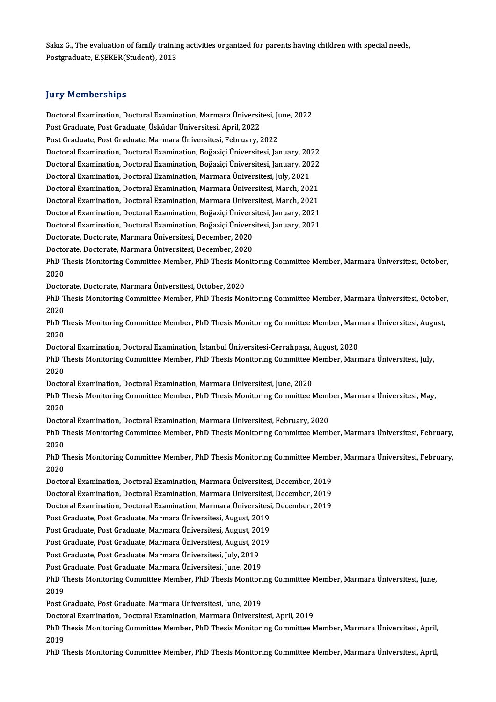Sakız G., The evaluation of family training activities organized for parents having children with special needs,<br>Restanaduate E SEKER(Student), 2012 Sakız G., The evaluation of family trainin<br>Postgraduate, E.ŞEKER(Student), 2013 Postgraduate, E.ŞEKER(Student), 2013<br>Jury Memberships

**Jury Memberships<br>Doctoral Examination, Doctoral Examination, Marmara Üniversitesi, June, 2022<br>Post Craduate, Post Craduate, Üniversitesi, Angil, 2022** Pary Promborompo<br>Doctoral Examination, Doctoral Examination, Marmara Üniversit<br>Post Graduate, Post Graduate, Üsküdar Üniversitesi, April, 2022<br>Post Graduate, Post Graduate, Marmara Üniversitesi, February Doctoral Examination, Doctoral Examination, Marmara Üniversitesi, Ju<br>Post Graduate, Post Graduate, Üsküdar Üniversitesi, April, 2022<br>Post Graduate, Post Graduate, Marmara Üniversitesi, February, 2022<br>Doctoral Examination, Post Graduate, Post Graduate, Üsküdar Üniversitesi, April, 2022<br>Post Graduate, Post Graduate, Marmara Üniversitesi, February, 2022<br>Doctoral Examination, Doctoral Examination, Boğazici Üniversitesi, Ianuary, 2022 Post Graduate, Post Graduate, Marmara Üniversitesi, February, 2022<br>Doctoral Examination, Doctoral Examination, Boğaziçi Üniversitesi, January, 2022<br>Doctoral Examination, Doctoral Examination, Boğaziçi Üniversitesi, January Doctoral Examination, Doctoral Examination, Boğaziçi Üniversitesi, January, 20:<br>Doctoral Examination, Doctoral Examination, Boğaziçi Üniversitesi, January, 20:<br>Doctoral Examination, Doctoral Examination, Marmara Üniversite Doctoral Examination, Doctoral Examination, Boğaziçi Üniversitesi, January, 2022<br>Doctoral Examination, Doctoral Examination, Marmara Üniversitesi, July, 2021<br>Doctoral Examination, Doctoral Examination, Marmara Üniversitesi Doctoral Examination, Doctoral Examination, Marmara Üniversitesi, July, 2021<br>Doctoral Examination, Doctoral Examination, Marmara Üniversitesi, March, 2021<br>Doctoral Examination, Doctoral Examination, Marmara Üniversitesi, M Doctoral Examination, Doctoral Examination, Marmara Üniversitesi, March, 2021<br>Doctoral Examination, Doctoral Examination, Marmara Üniversitesi, March, 2021<br>Doctoral Examination, Doctoral Examination, Boğaziçi Üniversitesi, Doctoral Examination, Doctoral Examination, Marmara Üniversitesi, March, 2021<br>Doctoral Examination, Doctoral Examination, Boğaziçi Üniversitesi, January, 2021<br>Doctoral Examination, Doctoral Examination, Boğaziçi Üniversite Doctoral Examination, Doctoral Examination, Boğaziçi Ünivers<br>Doctoral Examination, Doctoral Examination, Boğaziçi Ünivers<br>Doctorate, Doctorate, Marmara Üniversitesi, December, 2020<br>Doctorate, Doctorate, Marmara Üniversites Doctoral Examination, Doctoral Examination, Boğaziçi Üniversitesi, January, 2021<br>Doctorate, Doctorate, Marmara Üniversitesi, December, 2020 Doctorate, Doctorate, Marmara Üniversitesi, December, 2020<br>Doctorate, Doctorate, Marmara Üniversitesi, December, 2020<br>PhD Thesis Monitoring Committee Member, PhD Thesis Monitoring Committee Member, Marmara Üniversitesi, Oc Doctorate, Doctorate, Marmara Üniversitesi, December, 2020<br>PhD Thesis Monitoring Committee Member, PhD Thesis Monit<br>2020<br>Doctorate, Doctorate, Marmara Üniversitesi, October, 2020 PhD Thesis Monitoring Committee Member, PhD Thesis More<br>2020<br>Doctorate, Doctorate, Marmara Üniversitesi, October, 2020<br>PhD Thesis Monitoring Committee Member, PhD Thesis Mo 2020<br>Doctorate, Doctorate, Marmara Üniversitesi, October, 2020<br>PhD Thesis Monitoring Committee Member, PhD Thesis Monitoring Committee Member, Marmara Üniversitesi, October,<br>2020 Docto<br>PhD T<br>2020<br>מבואת PhD Thesis Monitoring Committee Member, PhD Thesis Monitoring Committee Member, Marmara Üniversitesi, October<br>2020<br>PhD Thesis Monitoring Committee Member, PhD Thesis Monitoring Committee Member, Marmara Üniversitesi, Augus 2020<br>PhD Thesis Monitoring Committee Member, PhD Thesis Monitoring Committee Member, Marmara Üniversitesi, August,<br>2020 PhD Thesis Monitoring Committee Member, PhD Thesis Monitoring Committee Member, Marr<br>2020<br>Doctoral Examination, Doctoral Examination, İstanbul Üniversitesi-Cerrahpaşa, August, 2020<br>PhD Thesis Monitoring Committee Member, P 2020<br>Doctoral Examination, Doctoral Examination, İstanbul Üniversitesi-Cerrahpaşa, August, 2020<br>PhD Thesis Monitoring Committee Member, PhD Thesis Monitoring Committee Member, Marmara Üniversitesi, July,<br>2020 Docto<br>PhD T<br>2020<br>Doste PhD Thesis Monitoring Committee Member, PhD Thesis Monitoring Committee I<br>2020<br>Doctoral Examination, Doctoral Examination, Marmara Üniversitesi, June, 2020<br>PhD Thesis Monitoring Committee Member, PhD Thesis Monitoring Comm 2020<br>Doctoral Examination, Doctoral Examination, Marmara Üniversitesi, June, 2020<br>PhD Thesis Monitoring Committee Member, PhD Thesis Monitoring Committee Member, Marmara Üniversitesi, May, Docto<br>PhD T<br>2020<br>Dosta PhD Thesis Monitoring Committee Member, PhD Thesis Monitoring Committee Meml<br>2020<br>Doctoral Examination, Doctoral Examination, Marmara Üniversitesi, February, 2020<br>PhD Thesis Monitoring Committee Member, PhD Thesis Monitori 2020<br>Doctoral Examination, Doctoral Examination, Marmara Üniversitesi, February, 2020<br>PhD Thesis Monitoring Committee Member, PhD Thesis Monitoring Committee Member, Marmara Üniversitesi, February,<br>2020 Doctoral Examination, Doctoral Examination, Marmara Üniversitesi, February, 2020 PhD Thesis Monitoring Committee Member, PhD Thesis Monitoring Committee Member, Marmara Üniversitesi, February,<br>2020<br>PhD Thesis Monitoring Committee Member, PhD Thesis Monitoring Committee Member, Marmara Üniversitesi, Feb 2020<br>PhD T<br>2020<br>Deste PhD Thesis Monitoring Committee Member, PhD Thesis Monitoring Committee Memb<br>2020<br>Doctoral Examination, Doctoral Examination, Marmara Üniversitesi, December, 2019<br>Doctoral Examination, Doctoral Examination, Marmara Ünivers 2020<br>Doctoral Examination, Doctoral Examination, Marmara Üniversitesi, December, 2019<br>Doctoral Examination, Doctoral Examination, Marmara Üniversitesi, December, 2019 Doctoral Examination, Doctoral Examination, Marmara Üniversitesi, December, 2019<br>Doctoral Examination, Doctoral Examination, Marmara Üniversitesi, December, 2019<br>Doctoral Examination, Doctoral Examination, Marmara Üniversi Doctoral Examination, Doctoral Examination, Marmara Üniversitesi<br>Doctoral Examination, Doctoral Examination, Marmara Üniversitesi<br>Post Graduate, Post Graduate, Marmara Üniversitesi, August, 2019<br>Post Craduate, Post Craduat Doctoral Examination, Doctoral Examination, Marmara Üniversitesi<br>Post Graduate, Post Graduate, Marmara Üniversitesi, August, 2019<br>Post Graduate, Post Graduate, Marmara Üniversitesi, August, 2019<br>Post Craduate, Post Craduat Post Graduate, Post Graduate, Marmara Üniversitesi, August, 2019<br>Post Graduate, Post Graduate, Marmara Üniversitesi, August, 2019<br>Post Graduate, Post Graduate, Marmara Üniversitesi, August, 2019<br>Post Graduate, Post Graduat Post Graduate, Post Graduate, Marmara Üniversitesi, August, 20<br>Post Graduate, Post Graduate, Marmara Üniversitesi, August, 20<br>Post Graduate, Post Graduate, Marmara Üniversitesi, July, 2019<br>Post Craduate, Post Craduate, Mar Post Graduate, Post Graduate, Marmara Üniversitesi, August, 2019<br>Post Graduate, Post Graduate, Marmara Üniversitesi, July, 2019<br>Post Graduate, Post Graduate, Marmara Üniversitesi, June, 2019 Post Graduate, Post Graduate, Marmara Üniversitesi, July, 2019<br>Post Graduate, Post Graduate, Marmara Üniversitesi, June, 2019<br>PhD Thesis Monitoring Committee Member, PhD Thesis Monitoring Committee Member, Marmara Üniversi Post G<br>PhD T<br>2019<br><sup>Rost C</sup> PhD Thesis Monitoring Committee Member, PhD Thesis Monitori<br>2019<br>Post Graduate, Post Graduate, Marmara Üniversitesi, June, 2019<br>Postaral Examination, Dostaral Examination, Marmara Üniversit 2019<br>Post Graduate, Post Graduate, Marmara Üniversitesi, June, 2019<br>Doctoral Examination, Doctoral Examination, Marmara Üniversitesi, April, 2019 Post Graduate, Post Graduate, Marmara Üniversitesi, June, 2019<br>Doctoral Examination, Doctoral Examination, Marmara Üniversitesi, April, 2019<br>PhD Thesis Monitoring Committee Member, PhD Thesis Monitoring Committee Member, M Docto<br>PhD T<br>2019<br>PhD T PhD Thesis Monitoring Committee Member, PhD Thesis Monitoring Committee Member, Marmara Üniversitesi, April,<br>2019<br>PhD Thesis Monitoring Committee Member, PhD Thesis Monitoring Committee Member, Marmara Üniversitesi, April,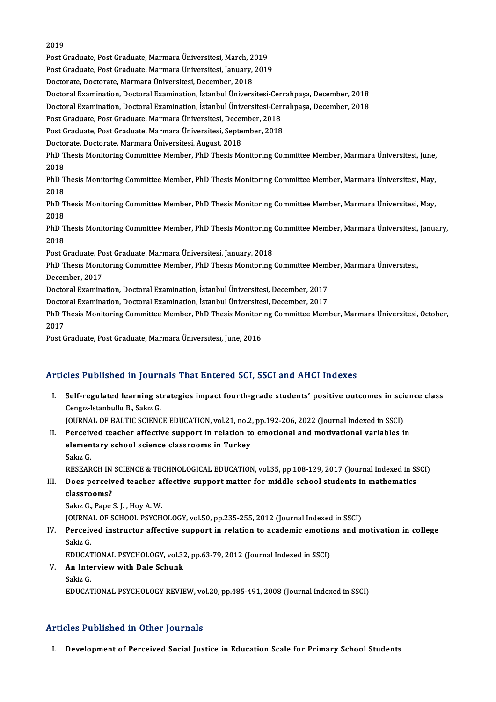### 2019

Post Graduate, Post Graduate, Marmara Üniversitesi, March, 2019 Post Graduate, Post Graduate, Marmara Üniversitesi, January, 2019 Doctorate, Doctorate, Marmara Üniversitesi, December, 2018 Post Graduate, Post Graduate, Marmara Üniversitesi, January, 2019<br>Doctorate, Doctorate, Marmara Üniversitesi, December, 2018<br>Doctoral Examination, Doctoral Examination, İstanbul Üniversitesi-Cerrahpaşa, December, 2018<br>Doct Doctorate, Doctorate, Marmara Üniversitesi, December, 2018<br>Doctoral Examination, Doctoral Examination, İstanbul Üniversitesi-Cerrahpaşa, December, 2018<br>Doctoral Examination, Doctoral Examination, İstanbul Üniversitesi-Cerr Doctoral Examination, Doctoral Examination, İstanbul Üniversitesi-Cer<br>Doctoral Examination, Doctoral Examination, İstanbul Üniversitesi-Cer<br>Post Graduate, Post Graduate, Marmara Üniversitesi, December, 2018<br>Post Craduate, Doctoral Examination, Doctoral Examination, İstanbul Üniversitesi-Cerrahpaşa, December, 2018<br>Post Graduate, Post Graduate, Marmara Üniversitesi, December, 2018<br>Post Graduate, Post Graduate, Marmara Üniversitesi, September, Post Graduate, Post Graduate, Marmara Üniversitesi, December, 2018 Post Graduate, Post Graduate, Marmara Üniversitesi, September, 2018<br>Doctorate, Doctorate, Marmara Üniversitesi, August, 2018<br>PhD Thesis Monitoring Committee Member, PhD Thesis Monitoring Committee Member, Marmara Üniversit Docto<br>PhD T<br>2018<br>פרט PhD Thesis Monitoring Committee Member, PhD Thesis Monitoring Committee Member, Marmara Üniversitesi, June,<br>2018<br>PhD Thesis Monitoring Committee Member, PhD Thesis Monitoring Committee Member, Marmara Üniversitesi, May,<br>20 2018<br>PhD Thesis Monitoring Committee Member, PhD Thesis Monitoring Committee Member, Marmara Üniversitesi, May,<br>2018 PhD Thesis Monitoring Committee Member, PhD Thesis Monitoring Committee Member, Marmara Üniversitesi, May,<br>2018<br>PhD Thesis Monitoring Committee Member, PhD Thesis Monitoring Committee Member, Marmara Üniversitesi, May,<br>201 2018<br>PhD T<br>2018<br>PhD T PhD Thesis Monitoring Committee Member, PhD Thesis Monitoring Committee Member, Marmara Üniversitesi, May,<br>2018<br>PhD Thesis Monitoring Committee Member, PhD Thesis Monitoring Committee Member, Marmara Üniversitesi, January, 2018<br>PhD T<br>2018<br>Pest C PhD Thesis Monitoring Committee Member, PhD Thesis Monitoring<br>2018<br>Post Graduate, Post Graduate, Marmara Üniversitesi, January, 2018<br>PhD Thesis Monitoring Committee Member, PhD Thesis Monitoring 2018<br>Post Graduate, Post Graduate, Marmara Üniversitesi, January, 2018<br>PhD Thesis Monitoring Committee Member, PhD Thesis Monitoring Committee Member, Marmara Üniversitesi, Post Graduate, Po<br>PhD Thesis Monit<br>December, 2017<br>Pectaral Examine PhD Thesis Monitoring Committee Member, PhD Thesis Monitoring Committee Meml<br>December, 2017<br>Doctoral Examination, Doctoral Examination, İstanbul Üniversitesi, December, 2017<br>Doctoral Examination, Doctoral Examination, İsta December, 2017<br>Doctoral Examination, Doctoral Examination, İstanbul Üniversitesi, December, 2017<br>Doctoral Examination, Doctoral Examination, İstanbul Üniversitesi, December, 2017 Doctoral Examination, Doctoral Examination, İstanbul Üniversitesi, December, 2017<br>Doctoral Examination, Doctoral Examination, İstanbul Üniversitesi, December, 2017<br>PhD Thesis Monitoring Committee Member, PhD Thesis Monitor Docto<br>PhD T<br>2017<br><sup>Post C</sup> PhD Thesis Monitoring Committee Member, PhD Thesis Monitori<br>2017<br>Post Graduate, Post Graduate, Marmara Üniversitesi, June, 2016

# Post Graduate, Post Graduate, Marmara Üniversitesi, June, 2016<br>Articles Published in Journals That Entered SCI, SSCI and AHCI Indexes

rticles Published in Journals That Entered SCI, SSCI and AHCI Indexes<br>I. Self-regulated learning strategies impact fourth-grade students' positive outcomes in science class<br>Congy Istanbully B. Selge C Self-regulated learning st<br>Self-regulated learning st<br>Cengız-Istanbullu B., Sakız G.<br>JOUDNAL OF PALTIC SCIENC Self-regulated learning strategies impact fourth-grade students' positive outcomes in sci<br>Cengız-Istanbullu B., Sakız G.<br>JOURNAL OF BALTIC SCIENCE EDUCATION, vol.21, no.2, pp.192-206, 2022 (Journal Indexed in SSCI)<br>Perseiv Cengız-Istanbullu B., Sakız G.<br>JOURNAL OF BALTIC SCIENCE EDUCATION, vol.21, no.2, pp.192-206, 2022 (Journal Indexed in SSCI)<br>II. Perceived teacher affective support in relation to emotional and motivational variables in<br>al

JOURNAL OF BALTIC SCIENCE EDUCATION, vol.21, no.2, pp.192-206, 2022 (Journal Indexed in SSCI)<br>Perceived teacher affective support in relation to emotional and motivational variables i<br>elementary school science classrooms i Percei<mark>v</mark><br>elemen<br>Sakız G.<br>PESEAP elementary school science classrooms in Turkey<br>Sakız G.<br>RESEARCH IN SCIENCE & TECHNOLOGICAL EDUCATION, vol.35, pp.108-129, 2017 (Journal Indexed in SSCI)<br>Dees perseived teasher affective support matter for middle school st

- Sakız G.<br>RESEARCH IN SCIENCE & TECHNOLOGICAL EDUCATION, vol.35, pp.108-129, 2017 (Journal Indexed in SS<br>III. Does perceived teacher affective support matter for middle school students in mathematics<br>classrooms? RESEARCH IN<br>Does perceiv<br>classrooms?<br>Salaz C. Bana III. Does perceived teacher affective support matter for middle school students in mathematics classrooms?<br>Sakız G., Pape S. J. , Hoy A. W.
	-

JOURNAL OF SCHOOL PSYCHOLOGY, vol.50, pp.235-255, 2012 (Journal Indexed in SSCI)

Sakız G., Pape S. J. , Hoy A. W.<br>JOURNAL OF SCHOOL PSYCHOLOGY, vol.50, pp.235-255, 2012 (Journal Indexed in SSCI)<br>IV. Perceived instructor affective support in relation to academic emotions and motivation in college<br>Sa JOURNA<br><mark>Perceiv</mark><br>Sakiz G.<br>EDUCA<sup>1</sup> Perceived instructor affective support in relation to academic emotion<br>Sakiz G.<br>EDUCATIONAL PSYCHOLOGY, vol.32, pp.63-79, 2012 (Journal Indexed in SSCI)<br>An Interview with Dale Sabunk

EDUCATIONAL PSYCHOLOGY, vol.32, pp.63-79, 2012 (Journal Indexed in SSCI)

Sakiz G.<br>EDUCATIONAL PSYCHOLOGY, vol.3.<br>V. An Interview with Dale Schunk<br>Sakiz G. EDUCATIONAL PSYCHOLOGYREVIEW,vol.20,pp.485-491,2008 (Journal Indexed inSSCI)

### Articles Published in Other Journals

I. Development of Perceived Social Justice in Education Scale for Primary School Students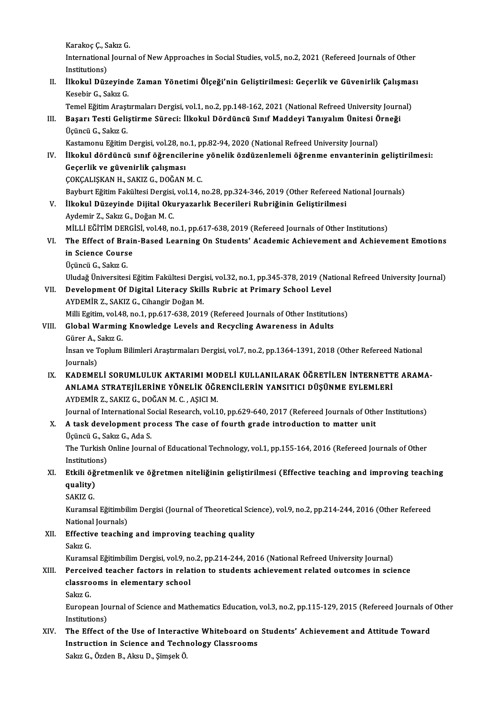Karakoç Ç., Sakız G.<br>International Journ International Journal of New Approaches in Social Studies, vol.5, no.2, 2021 (Refereed Journals of Other<br>Institutions) Karakoç Ç., S.<br>International<br>Institutions)<br>Illiakul Dür International Journal of New Approaches in Social Studies, vol.5, no.2, 2021 (Refereed Journals of Other<br>Institutions)<br>II. Ilkokul Düzeyinde Zaman Yönetimi Ölçeği'nin Geliştirilmesi: Geçerlik ve Güvenirlik Çalışması<br>Keşebi Institutions)<br>İlkokul Düzeyind<br>Kesebir G., Sakız G.<br>Tomel Fğitim Aract İlkokul Düzeyinde Zaman Yönetimi Ölçeği'nin Geliştirilmesi: Geçerlik ve Güvenirlik Çalışmas<br>Kesebir G., Sakız G.<br>Temel Eğitim Araştırmaları Dergisi, vol.1, no.2, pp.148-162, 2021 (National Refreed University Journal)<br>Basar Kesebir G., Sakız G.<br>Temel Eğitim Araştırmaları Dergisi, vol.1, no.2, pp.148-162, 2021 (National Refreed University Journ<br>III. Başarı Testi Geliştirme Süreci: İlkokul Dördüncü Sınıf Maddeyi Tanıyalım Ünitesi Örneği<br>Üsüngü Temel Eğitim Araşt<br><mark>Başarı Testi Geli</mark>:<br>Üçüncü G., Sakız G.<br>Kastamanu Eğitim Başarı Testi Geliştirme Süreci: İlkokul Dördüncü Sınıf Maddeyi Tanıyalım Ünitesi Ö<br>Üçüncü G., Sakız G.<br>Kastamonu Eğitim Dergisi, vol.28, no.1, pp.82-94, 2020 (National Refreed University Journal)<br>İlkokul dördüncü sınıf öğr Üçüncü G., Sakız G.<br>Kastamonu Eğitim Dergisi, vol.28, no.1, pp.82-94, 2020 (National Refreed University Journal)<br>IV. İlkokul dördüncü sınıf öğrencilerine yönelik özdüzenlemeli öğrenme envanterinin geliştirilmesi:<br>Cesenlik Kastamonu Eğitim Dergisi, vol.28, no<br>İlkokul dördüncü sınıf öğrencile<br>Geçerlik ve güvenirlik çalışması<br>COKCALISKAN H. SAKIZ G. DOĞAN İlkokul dördüncü sınıf öğrencilerine<br>Geçerlik ve güvenirlik çalışması<br>ÇOKÇALIŞKAN H., SAKIZ G., DOĞAN M. C.<br>Payburt Făitim Fakültesi Dargisi yal 14. r Geçerlik ve güvenirlik çalışması<br>ÇOKÇALIŞKAN H., SAKIZ G., DOĞAN M. C.<br>Bayburt Eğitim Fakültesi Dergisi, vol.14, no.28, pp.324-346, 2019 (Other Refereed National Journals) ÇOKÇALIŞKAN H., SAKIZ G., DOĞAN M. C.<br>Bayburt Eğitim Fakültesi Dergisi, vol.14, no.28, pp.324-346, 2019 (Other Refereed N<br>V. İlkokul Düzeyinde Dijital Okuryazarlık Becerileri Rubriğinin Geliştirilmesi<br>Aydemir Z. Selvz G. D Bayburt Eğitim Fakültesi Dergisi,<br>İlkokul Düzeyinde Dijital Oku<br>Aydemir Z., Sakız G., Doğan M. C.<br>MİLLİ EĞİTİM DERÇİSİ vol 49-n İlkokul Düzeyinde Dijital Okuryazarlık Becerileri Rubriğinin Geliştirilmesi<br>Aydemir Z., Sakız G., Doğan M. C.<br>MİLLİ EĞİTİM DERGİSİ, vol.48, no.1, pp.617-638, 2019 (Refereed Journals of Other Institutions)<br>The Effect of Pue Aydemir Z., Sakız G., Doğan M. C.<br>MİLLİ EĞİTİM DERGİSİ, vol.48, no.1, pp.617-638, 2019 (Refereed Journals of Other Institutions)<br>VI. The Effect of Brain-Based Learning On Students' Academic Achievement and Achievement MİLLİ EĞİTİM DERG<br>The Effect of Brain<br>in Science Course<br>Ügüngü C. Selur C The Effect of Bra<br>in Science Cours<br>Üçüncü G., Sakız G.<br>Uludež Üniversites in Science Course<br>Üçüncü G., Sakız G.<br>Uludağ Üniversitesi Eğitim Fakültesi Dergisi, vol.32, no.1, pp.345-378, 2019 (National Refreed University Journal)<br>Pevelenment Of Disitel Liteneey Skille Puhnie at Primery Sebeel Level Üçüncü G., Sakız G.<br>Uludağ Üniversitesi Eğitim Fakültesi Dergisi, vol.32, no.1, pp.345-378, 2019 (Nat<br>VII. Development Of Digital Literacy Skills Rubric at Primary School Level<br>AYDEMİR Z., SAKIZ G., Cihangir Doğan M. Uludağ Üniversitesi Eğitim Fakültesi Derg<br>Development Of Digital Literacy Skill<br>AYDEMİR Z., SAKIZ G., Cihangir Doğan M.<br>Milli Egitim vol 48 no 1 nn 617 628 2011 Development Of Digital Literacy Skills Rubric at Primary School Level<br>AYDEMİR Z., SAKIZ G., Cihangir Doğan M.<br>Milli Egitim, vol.48, no.1, pp.617-638, 2019 (Refereed Journals of Other Institutions)<br>Clobal Warming Knowledge VIII. Global Warming Knowledge Levels and Recycling Awareness in Adults Gürer A., Sakız G. Milli Egitim, vol.48<br>Global Warmin<sub>{</sub><br>Gürer A., Sakız G.<br>İncan ve Tanlum Global Warming Knowledge Levels and Recycling Awareness in Adults<br>Gürer A., Sakız G.<br>İnsan ve Toplum Bilimleri Araştırmaları Dergisi, vol.7, no.2, pp.1364-1391, 2018 (Other Refereed National<br>Journals) Gürer A., S<br>İnsan ve T<br>Journals)<br>KADEME Journals)<br>IX. KADEMELİ SORUMLULUK AKTARIMI MODELİ KULLANILARAK ÖĞRETİLEN İNTERNETTE ARAMA-Journals)<br>KADEMELİ SORUMLULUK AKTARIMI MODELİ KULLANILARAK ÖĞRETİLEN İNTERNETT<br>ANLAMA STRATEJİLERİNE YÖNELİK ÖĞRENCİLERİN YANSITICI DÜŞÜNME EYLEMLERİ<br>AYDEMİR Z. SAKIZ G. DOĞAN M.G. ASICI M KADEMELİ SORUMLULUK AKTARIMI MO<br>ANLAMA STRATEJİLERİNE YÖNELİK ÖĞF<br>AYDEMİR Z., SAKIZ G., DOĞAN M. C. , AŞICI M.<br>Journal of International Sosial Bessersh vol 1 ANLAMA STRATEJİLERİNE YÖNELİK ÖĞRENCİLERİN YANSITICI DÜŞÜNME EYLEMLERİ<br>AYDEMİR Z., SAKIZ G., DOĞAN M. C. , AŞICI M.<br>Journal of International Social Research, vol.10, pp.629-640, 2017 (Refereed Journals of Other Institution AYDEMIR Z., SAKIZ G., DOĞAN M. C. , AŞICI M.<br>Journal of International Social Research, vol.10, pp.629-640, 2017 (Refereed Journals of Othe<br>X. A task development process The case of fourth grade introduction to matter unit Journal of International Se<br><mark>A task development pr</mark><br>Üçüncü G., Sakız G., Ada S.<br>The Turkieb Opline Journe The Turkish Online Journal of Educational Technology, vol.1, pp.155-164, 2016 (Refereed Journals of Other Institutions) Üçüncü G., Sakız G., Ada S. The Turkish Online Journal of Educational Technology, vol.1, pp.155-164, 2016 (Refereed Journals of Other<br>Institutions)<br>XI. Etkili öğretmenlik ve öğretmen niteliğinin geliştirilmesi (Effective teaching and improving teachi Institutio<br><mark>Etkili öğ</mark><br>quality)<br>sakiz c <mark>Etkili öğ</mark><br>quality)<br>SAKIZ G.<br>Kuramsa **quality)**<br>SAKIZ G.<br>Kuramsal Eğitimbilim Dergisi (Journal of Theoretical Science), vol.9, no.2, pp.214-244, 2016 (Other Refereed<br>National Journals) SAKIZ G.<br>Kuramsal Eğitimbil<br>National Journals)<br>Effective teachin Kuramsal Eğitimbilim Dergisi (Journal of Theoretical Scie<br>National Journals)<br>XII. Effective teaching and improving teaching quality<br>Selaz C Nationa<br>**Effectiv**<br>Sakız G.<br>Kurams Effective teaching and improving teaching quality<br>Sakız G.<br>Kuramsal Eğitimbilim Dergisi, vol.9, no.2, pp.214-244, 2016 (National Refreed University Journal)<br>Perseived teacher fectors in relation te students achievement rel Sakız G.<br>Kuramsal Eğitimbilim Dergisi, vol.9, no.2, pp.214-244, 2016 (National Refreed University Journal)<br>XIII. Perceived teacher factors in relation to students achievement related outcomes in science<br> Kuramsal Eğitimbilim Dergisi, vol.9, no<br>Perceived teacher factors in relat<br>classrooms in elementary school<br>Selva*C* Perceived teacher factors in relation to students achievement related outcomes in science<br>classrooms in elementary school<br>Sakız G. classrooms in elementary school<br>Sakız G.<br>European Journal of Science and Mathematics Education, vol.3, no.2, pp.115-129, 2015 (Refereed Journals of Other Sakız G.<br>European Jou<br>Institutions)<br>The Effect c European Journal of Science and Mathematics Education, vol.3, no.2, pp.115-129, 2015 (Refereed Journals of<br>Institutions)<br>XIV. The Effect of the Use of Interactive Whiteboard on Students' Achievement and Attitude Toward<br>Ins Institutions)<br>The Effect of the Use of Interactive Whiteboard on<br>Instruction in Science and Technology Classrooms<br>Saky Gorden B. Akay D. Simeek Ö The Effect of the Use of Interact<br>Instruction in Science and Techı<br>Sakız G., Özden B., Aksu D., Şimşek Ö.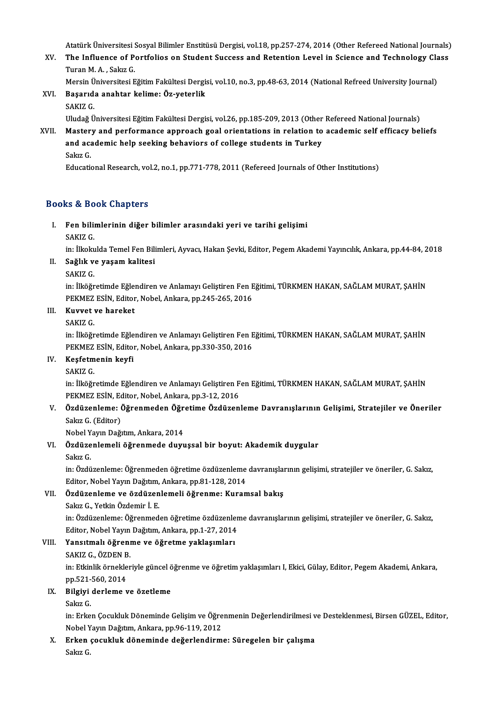Atatürk Üniversitesi Sosyal Bilimler Enstitüsü Dergisi, vol.18, pp.257-274, 2014 (Other Refereed National Journals)

- Atatürk Üniversitesi Sosyal Bilimler Enstitüsü Dergisi, vol.18, pp.257-274, 2014 (Other Refereed National Journals)<br>XV. The Influence of Portfolios on Student Success and Retention Level in Science and Technology Class Atatürk Üniversitesi !<br>The Influence of P<br>Turan M. A. , Sakız G.<br>Morsin Üniversitesi E The Influence of Portfolios on Student Success and Retention Level in Science and Technology Cla<br>Turan M. A. , Sakız G.<br>Mersin Üniversitesi Eğitim Fakültesi Dergisi, vol.10, no.3, pp.48-63, 2014 (National Refreed Universit
	- Mersin Üniversitesi Eğitim Fakültesi Dergisi, vol.10, no.3, pp.48-63, 2014 (National Refreed University Journal)
- Turan M. A. , Sakız G.<br>Mersin Üniversitesi Eğitim Fakültesi Dergi<br>XVI. Başarıda anahtar kelime: Öz-yeterlik<br>SAKIZ G.

Başarıda anahtar kelime: Öz-yeterlik<br>SAKIZ G.<br>Uludağ Üniversitesi Eğitim Fakültesi Dergisi, vol.26, pp.185-209, 2013 (Other Refereed National Journals)<br>Mastery and performance annreach goal orientations in relation to asad

- SAKIZ G.<br>Uludağ Üniversitesi Eğitim Fakültesi Dergisi, vol.26, pp.185-209, 2013 (Other Refereed National Journals)<br>XVII. Mastery and performance approach goal orientations in relation to academic self efficacy beliefs<br>and Uludağ Üniversitesi Eğitim Fakültesi Dergisi, vol.26, pp.185-209, 2013 (Other<br>Mastery and performance approach goal orientations in relation to<br>and academic help seeking behaviors of college students in Turkey<br>Selva*C* Master<br>and aca<br>Sakız G. and academic help seeking behaviors of college students in Turkey<br>Sakız G.<br>Educational Research, vol.2, no.1, pp.771-778, 2011 (Refereed Journals of Other Institutions)
	-

### Books&Book Chapters

ooks & Book Chapters<br>I. Fen bilimlerinin diğer bilimler arasındaki yeri ve tarihi gelişimi<br>SAKIZ.C ns & Be<br>Fen bili:<br>SAKIZ G.<br>in: <sup>İlkolm</sup> Fen bilimlerinin diğer bilimler arasındaki yeri ve tarihi gelişimi<br>SAKIZ G.<br>in: İlkokulda Temel Fen Bilimleri, Ayvacı, Hakan Şevki, Editor, Pegem Akademi Yayıncılık, Ankara, pp.44-84, 2018<br>Sežlik ve yasem kelitesi SAKIZ G.<br>in: İlkokulda Temel Fen Bili<br>II. Sağlık ve yaşam kalitesi<br>SAKIZ G

in: İlkoku<br><mark>Sağlık v</mark><br>SAKIZ G.<br>in: İlköğr

- -

Sağlık ve yaşam kalitesi<br>SAKIZ G.<br>in: İlköğretimde Eğlendiren ve Anlamayı Geliştiren Fen Eğitimi, TÜRKMEN HAKAN, SAĞLAM MURAT, ŞAHİN<br>REKMEZ ESİN, Editor Nobel, Ankara np 345, 365, 3016 SAKIZ G.<br>in: İlköğretimde Eğlendiren ve Anlamayı Geliştiren Fen E<br>PEKMEZ ESİN, Editor, Nobel, Ankara, pp.245-265, 2016<br>Kuyust ve bareket PEKMEZ ESİN, Editor, Nobel, Ankara, pp.245-265, 2016

# III. Kuvvet ve hareket<br>SAKIZ G.

Kuvvet ve hareket<br>SAKIZ G.<br>in: İlköğretimde Eğlendiren ve Anlamayı Geliştiren Fen Eğitimi, TÜRKMEN HAKAN, SAĞLAM MURAT, ŞAHİN<br>REKMEZ ESİN, Editor Nobel, Ankara np 330,350,3016 SAKIZ G.<br>in: İlköğretimde Eğlendiren ve Anlamayı Geliştiren Fen E<br>PEKMEZ ESİN, Editor, Nobel, Ankara, pp.330-350, 2016<br>Kesfetmanin keyfi PEKMEZ ESİN, Editor, Nobel, Ankara, pp.330-350, 2016

# IV. Keşfetmenin keyfi

in: İlköğretimde Eğlendiren ve Anlamayı Geliştiren Fen Eğitimi, TÜRKMEN HAKAN, SAĞLAM MURAT, ŞAHİN SAKIZ G.<br>in: İlköğretimde Eğlendiren ve Anlamayı Geliştiren F<br>PEKMEZ ESİN, Editor, Nobel, Ankara, pp.3-12, 2016<br>Özdürenleme: Öğrenmeden Öğretime Özdüren in: İlköğretimde Eğlendiren ve Anlamayı Geliştiren Fen Eğitimi, TÜRKMEN HAKAN, SAĞLAM MURAT, ŞAHİN<br>PEKMEZ ESİN, Editor, Nobel, Ankara, pp.3-12, 2016<br>V. Özdüzenleme: Öğrenmeden Öğretime Özdüzenleme Davranışlarının Gelişimi,

# PEKMEZ ESİN, Ec<br><mark>Özdüzenleme: (</mark><br>Sakız G. (Editor)<br>Nebel Yaun Dağ Özdüzenleme: Öğrenmeden Öğr<br>Sakız G. (Editor)<br>Nobel Yayın Dağıtım, Ankara, 2014<br>Özdürenlemeli öğrenmede duyu

# Sakız G. (Editor)<br>Nobel Yayın Dağıtım, Ankara, 2014<br>VI. Özdüzenlemeli öğrenmede duyuşsal bir boyut: Akademik duygular<br>Sakız C Nobel Y<br><mark>Özdüze</mark><br>Sakız G.<br>in: Özdü

Özdüzenlemeli öğrenmede duyuşsal bir boyut: Akademik duygular<br>Sakız G.<br>in: Özdüzenleme: Öğrenmeden öğretime özdüzenleme davranışlarının gelişimi, stratejiler ve öneriler, G. Sakız,<br>Editor, Nobel Yayın Dağıtım, Ankara, np.9 Sakız G.<br>in: Özdüzenleme: Öğrenmeden öğretime özdüzenleme<br>Editor, Nobel Yayın Dağıtım, Ankara, pp.81-128, 2014<br>Özdüzenleme ve özdüzenlemeli öğrenme: Kuren in: Özdüzenleme: Öğrenmeden öğretime özdüzenleme davranışlar<br>Editor, Nobel Yayın Dağıtım, Ankara, pp.81-128, 2014<br>VII. Özdüzenleme ve özdüzenlemeli öğrenme: Kuramsal bakış<br>Salaz G. Vetkin Özdemir İ. E

# Editor, Nobel Yayın Dağıtım, Ankara, pp.81-128, 2014<br>Özdüzenleme ve özdüzenlemeli öğrenme: Kuramsal bakış<br>Sakız G., Yetkin Özdemir İ. E.

Özdüzenleme ve özdüzenlemeli öğrenme: Kuramsal bakış<br>Sakız G., Yetkin Özdemir İ. E.<br>in: Özdüzenleme: Öğrenmeden öğretime özdüzenleme davranışlarının gelişimi, stratejiler ve öneriler, G. Sakız,<br>Editor, Nobel Yayın Dağıtım, Sakız G., Yetkin Özdemir İ. E.<br>in: Özdüzenleme: Öğrenmeden öğretime özdüzenler<br>Editor, Nobel Yayın Dağıtım, Ankara, pp.1-27, 2014<br>Yansıtmalı öğrenme ve öğretme vaklasımları in: Özdüzenleme: Öğrenmeden öğretime özdüzenle<br>Editor, Nobel Yayın Dağıtım, Ankara, pp.1-27, 2014<br>VIII. Yansıtmalı öğrenme ve öğretme yaklaşımları<br>SAKIZ G ÖZDEN P Editor, Nobel Yayın<br><mark>Yansıtmalı öğrenı</mark><br>SAKIZ G., ÖZDEN B.<br>in: Etkinlik örneklen

Yansıtmalı öğrenme ve öğretme yaklaşımları<br>SAKIZ G., ÖZDEN B.<br>in: Etkinlik örnekleriyle güncel öğrenme ve öğretim yaklaşımları I, Ekici, Gülay, Editor, Pegem Akademi, Ankara,<br>pp 521,560,2014. SAKIZ G., ÖZDEN B<br>in: Etkinlik örnekle<br>pp.521-560, 2014<br>Bilgivi derleme r pp 521-560, 2014

# IX. Bilgiyi derleme ve özetleme

Bilgiyi derleme ve özetleme<br>Sakız G.<br>in: Erken Çocukluk Döneminde Gelişim ve Öğrenmenin Değerlendirilmesi ve Desteklenmesi, Birsen GÜZEL, Editor,<br>Nebel Yaun Değitım, Ankara, np.96,119, 2012 Sakız G.<br>in: Erken Çocukluk Döneminde Gelişim ve Öğre<br>Nobel Yayın Dağıtım, Ankara, pp.96-119, 2012<br>Erken, sosukluk döneminde değerlendirm in: Erken Çocukluk Döneminde Gelişim ve Öğrenmenin Değerlendirilmesi v<br>Nobel Yayın Dağıtım, Ankara, pp.96-119, 2012<br>X. Erken çocukluk döneminde değerlendirme: Süregelen bir çalışma<br>Salur C

Nobel Yayın Dağıtım, Ankara, pp.96-119, 2012<br>X. Erken çocukluk döneminde değerlendirme: Süregelen bir çalışma<br>Sakız G.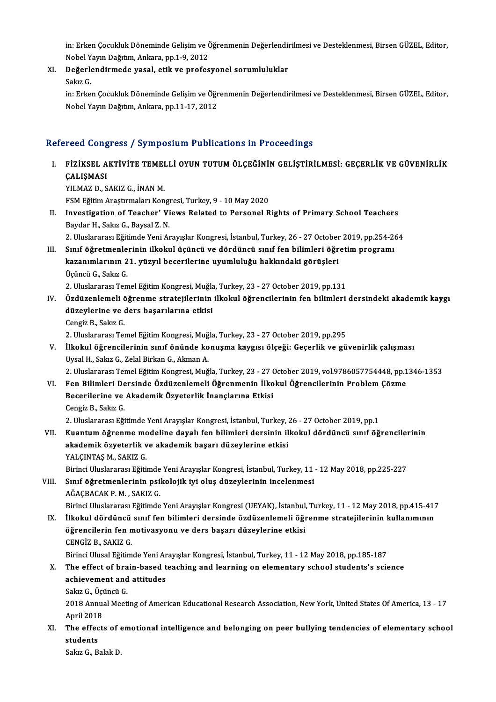in: Erken Çocukluk Döneminde Gelişim ve Öğrenmenin Değerlendirilmesi ve Desteklenmesi, Birsen GÜZEL, Editor,<br>Nebel Yaun Değitım, Ankare, np.1,9,2012 in: Erken Çocukluk Döneminde Gelişim ve Ö<br>Nobel Yayın Dağıtım, Ankara, pp.1-9, 2012<br>Doğarlandirmada yaşal, atilt ve profes in: Erken Çocukluk Döneminde Gelişim ve Öğrenmenin Değerlendi<br>Nobel Yayın Dağıtım, Ankara, pp.1-9, 2012<br>XI. Değerlendirmede yasal, etik ve profesyonel sorumluluklar<br>Selve C

Nobel Yayın Dağıtım, Ankara, pp.1-9, 2012<br>XI. Değerlendirmede yasal, etik ve profesyonel sorumluluklar<br>Sakız G. De<mark>ğerlendirmede yasal, etik ve profesyonel sorumluluklar</mark><br>Sakız G.<br>in: Erken Çocukluk Döneminde Gelişim ve Öğrenmenin Değerlendirilmesi ve Desteklenmesi, Birsen GÜZEL, Editor,<br>Nobel Yaun Dağıtım, Ankara, np.11.17.2012 Sakız G.<br>in: Erken Çocukluk Döneminde Gelişim ve Öğr<br>Nobel Yayın Dağıtım, Ankara, pp.11-17, 2012

# Nobel Yayın Dağıtım, Ankara, pp.11-17, 2012<br>Refereed Congress / Symposium Publications in Proceedings

I. FİZİKSEL AKTİVİTE TEMELLİ OYUN TUTUMÖLÇEĞİNİN GELİŞTİRİLMESİ: GEÇERLİK VE GÜVENİRLİK ÇALIŞMASI YILMAZ D., SAKIZ G., İNAN M. ÇALIŞMASI<br>YILMAZ D., SAKIZ G., İNAN M.<br>FSM Eğitim Araştırmaları Kongresi, Turkey, 9 - 10 May 2020<br>Investigation of Teashor' Views Belated te Borsonal B II. Investigation of Teacher' Views Related to Personel Rights of Primary School Teachers<br>Baydar H., Sakız G., Baysal Z. N. FSM Eğitim Araştırmaları Kongi<br>Investigation of Teacher' Vi<br>Baydar H., Sakız G., Baysal Z. N.<br>2. Uluelararası Eğitimde Yoni Ar Investigation of Teacher' Views Related to Personel Rights of Primary School Teachers<br>Baydar H., Sakız G., Baysal Z. N.<br>2. Uluslararası Eğitimde Yeni Arayışlar Kongresi, İstanbul, Turkey, 26 - 27 October 2019, pp.254-264<br>S Baydar H., Sakız G., Baysal Z. N.<br>2. Uluslararası Eğitimde Yeni Arayışlar Kongresi, İstanbul, Turkey, 26 - 27 October 2019, pp.254-20<br>11. Sınıf öğretmenlerinin ilkokul üçüncü ve dördüncü sınıf fen bilimleri öğretim program 2. Uluslararası Eğitimde Yeni Arayışlar Kongresi, İstanbul, Turkey, 26 - 27 October<br>Sınıf öğretmenlerinin ilkokul üçüncü ve dördüncü sınıf fen bilimleri öğr<br>kazanımlarının 21. yüzyıl becerilerine uyumluluğu hakkındaki görü Sınıf öğretmenle<br>kazanımlarının 2<br>Üçüncü G., Sakız G.<br>2. Uluslararası Tom <mark>kazanımlarının 21. yüzyıl becerilerine uyumluluğu hakkındaki görüşleri</mark><br>Üçüncü G., Sakız G.<br>2. Uluslararası Temel Eğitim Kongresi, Muğla, Turkey, 23 - 27 October 2019, pp.131<br>Özdüzenlemeli öğrenme stratejilerinin ilkekul

Üçüncü G., Sakız G.<br>2. Uluslararası Temel Eğitim Kongresi, Muğla, Turkey, 23 - 27 October 2019, pp.131<br>IV. Özdüzenlemeli öğrenme stratejilerinin ilkokul öğrencilerinin fen bilimleri dersindeki akademik kaygı 2. Uluslararası Temel Eğitim Kongresi, Muğla<br>Özdüzenlemeli öğrenme stratejilerinin<br>düzeylerine ve ders başarılarına etkisi<br>Cengiz B. Salaz C düzeylerine ve ders başarılarına etkisi<br>Cengiz B., Sakız G.

2. Uluslararası Temel Eğitim Kongresi, Muğla, Turkey, 23 - 27 October 2019, pp.295

- Cengiz B., Sakız G.<br>2. Uluslararası Temel Eğitim Kongresi, Muğla, Turkey, 23 27 October 2019, pp.295<br>1. İlkokul öğrencilerinin sınıf önünde konuşma kaygısı ölçeği: Geçerlik ve güvenirlik çalışması<br>1. İlkokul öğrencilerin 2. Uluslararası Temel Eğitim Kongresi, Muğ<br>İlkokul öğrencilerinin sınıf önünde ko<br>Uysal H., Sakız G., Zelal Birkan G., Akman A.<br>2. Uluslararası Tamal Eğitim Kongresi, Muğ İlkokul öğrencilerinin sınıf önünde konuşma kaygısı ölçeği: Geçerlik ve güvenirlik çalışması<br>Uysal H., Sakız G., Zelal Birkan G., Akman A.<br>2. Uluslararası Temel Eğitim Kongresi, Muğla, Turkey, 23 - 27 October 2019, vol.978 Uysal H., Sakız G., Zelal Birkan G., Akman A.<br>2. Uluslararası Temel Eğitim Kongresi, Muğla, Turkey, 23 - 27 October 2019, vol.9786057754448, pp.1346-1353<br>1. Fen Bilimleri Dersinde Özdüzenlemeli Öğrenmenin İlkokul Öğrencile
- 2. Uluslararası Temel Eğitim Kongresi, Muğla, Turkey, 23 27 (<br>Fen Bilimleri Dersinde Özdüzenlemeli Öğrenmenin İlko<br>Becerilerine ve Akademik Özyeterlik İnançlarına Etkisi<br>Censir B. Salvr.C Fen Bilimleri De<br>Becerilerine ve<br>Cengiz B., Sakız G.<br>2. Uluslarares Eği 2. Uluslararası Eğitimde Yeni Arayışlar Kongresi, İstanbul, Turkey, 26 - 27 October 2019, pp.1<br>2. Uluslararası Eğitimde Yeni Arayışlar Kongresi, İstanbul, Turkey, 26 - 27 October 2019, pp.1

Cengiz B., Sakız G.<br>2. Uluslararası Eğitimde Yeni Arayışlar Kongresi, İstanbul, Turkey, 26 - 27 October 2019, pp.1<br>2. Kuantum öğrenme modeline dayalı fen bilimleri dersinin ilkokul dördüncü sınıf öğrencilerinin<br>2. Akıdemik 2. Uluslararası Eğitimde Yeni Arayışlar Kongresi, İstanbul, Turkey, <mark>:</mark><br>Kuantum öğrenme modeline dayalı fen bilimleri dersinin il<br>akademik özyeterlik ve akademik başarı düzeylerine etkisi<br><sup>VALCINTAS M. SAKIZ C</sup> akademik özyeterlik ve akademik başarı düzeylerine etkisi YALÇINTAŞ M., SAKIZ G. akademik özyeterlik ve akademik başarı düzeylerine etkisi<br>YALÇINTAŞ M., SAKIZ G.<br>Birinci Uluslararası Eğitimde Yeni Arayışlar Kongresi, İstanbul, Turkey, 11 - 12 May 2018, pp.225-227<br>Sınıf öğretmenlerinin neikelejik iyi ol

VIII. Sınıf öğretmenlerinin psikolojik iyi oluş düzeylerinin incelenmesi<br>AĞAÇBACAK P.M., SAKIZ G. Birinci Uluslararası Eğitimde<br>Sınıf öğretmenlerinin psi<br>AĞAÇBACAK P. M. , SAKIZ G.<br>Birinci Uluslararası Eğitimde Sınıf öğretmenlerinin psikolojik iyi oluş düzeylerinin incelenmesi<br>AĞAÇBACAK P. M. , SAKIZ G.<br>Birinci Uluslararası Eğitimde Yeni Arayışlar Kongresi (UEYAK), İstanbul, Turkey, 11 - 12 May 2018, pp.415-417<br>İlkokul dördüngü s

AĞAÇBACAK P. M. , SAKIZ G.<br>Birinci Uluslararası Eğitimde Yeni Arayışlar Kongresi (UEYAK), İstanbul, Turkey, 11 - 12 May 2018, pp.415-417<br>IX. İlkokul dördüncü sınıf fen bilimleri dersinde özdüzenlemeli öğrenme stratejilerin Birinci Uluslararası Eğitimde Yeni Arayışlar Kongresi (UEYAK), İstanbul,<br>İlkokul dördüncü sınıf fen bilimleri dersinde özdüzenlemeli öğr<br>öğrencilerin fen motivasyonu ve ders başarı düzeylerine etkisi<br>CENCİZ B. SAKIZ C IX. İlkokul dördüncü sınıf fen bilimleri dersinde özdüzenlemeli öğrenme stratejilerinin kullanımının<br>öğrencilerin fen motivasyonu ve ders başarı düzeylerine etkisi<br>CENGİZ B., SAKIZ G. öğrencilerin fen motivasyonu ve ders başarı düzeylerine etkisi<br>CENGİZ B., SAKIZ G.<br>Birinci Ulusal Eğitimde Yeni Arayışlar Kongresi, İstanbul, Turkey, 11 - 12 May 2018, pp.185-187<br>The effect of brein based tesebing and lear

## CENGİZ B., SAKIZ G.<br>Birinci Ulusal Eğitimde Yeni Arayışlar Kongresi, İstanbul, Turkey, 11 - 12 May 2018, pp.185-187<br>X. The effect of brain-based teaching and learning on elementary school students's science<br>esphievement an Birinci Ulusal Eğitimde Yeni Ar<br>The effect of brain-based t<br>achievement and attitudes<br>Selva C. Üsünsü C X. The effect of brain-based teaching and learning on elementary school students's science<br>achievement and attitudes<br>Sakız G., Üçüncü G.

achievement and attitudes<br>Sakız G., Üçüncü G.<br>2018 Annual Meeting of American Educational Research Association, New York, United States Of America, 13 - 17 Sakız G., Üçi<br>2018 Annua<br>April 2018<br>The effect 2018 Annual Meeting of American Educational Research Association, New York, United States Of America, 13 - 17<br>April 2018<br>XI. The effects of emotional intelligence and belonging on peer bullying tendencies of elementary sch

April 2018<br>The effects of e<br>students<br>Sakız G., Balak D. The effects of (<br>students<br>Sakız G., Balak D.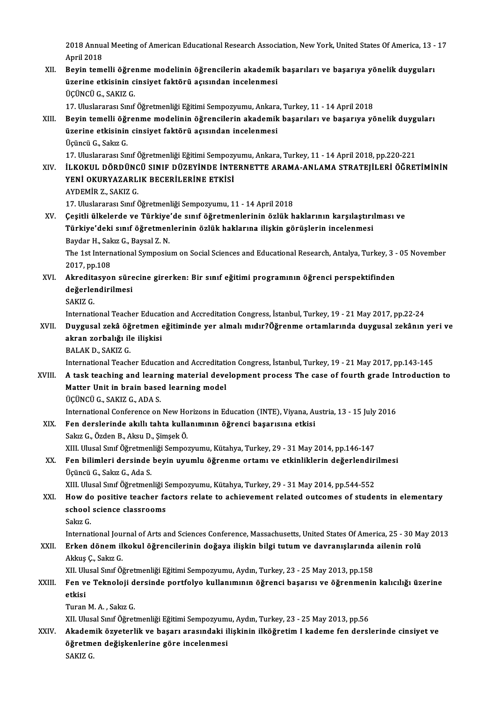2018 Annual Meeting of American Educational Research Association, New York, United States Of America, 13 - 17<br>Anril 2019 2018 Annua<br>April 2018<br>Povin tom 2018 Annual Meeting of American Educational Research Association, New York, United States Of America, 13 - April 2018<br>XII. Beyin temelli öğrenme modelinin öğrencilerin akademik başarıları ve başarıya yönelik duyguları<br>Nevi

## April 2018<br>Beyin temelli öğrenme modelinin öğrencilerin akademik<br>üzerine etkisinin cinsiyet faktörü açısından incelenmesi<br>ÜÇÜNÇÜ C. SAKIZ C Beyin temelli öğre:<br>üzerine etkisinin c<br>ÜÇÜNCÜ G., SAKIZ G.<br>17. Uluslararası Sınıf ÜÇÜNCÜ G., SAKIZ G.<br>17. Uluslararası Sınıf Öğretmenliği Eğitimi Sempozyumu, Ankara, Turkey, 11 - 14 April 2018

# ÜÇÜNCÜ G., SAKIZ G.<br>17. Uluslararası Sınıf Öğretmenliği Eğitimi Sempozyumu, Ankara, Turkey, 11 - 14 April 2018<br>XIII. Beyin temelli öğrenme modelinin öğrencilerin akademik başarıları ve başarıya yönelik duyguları<br>üzerin 17. Uluslararası Sınıf Öğretmenliği Eğitimi Sempozyumu, Ankara<br>Beyin temelli öğrenme modelinin öğrencilerin akademik<br>üzerine etkisinin cinsiyet faktörü açısından incelenmesi<br>Üsünsü C. Seku C. Beyin temelli öğı<br>üzerine etkisinin<br>Üçüncü G., Sakız G.<br>17. Uluslararası Su üzerine etkisinin cinsiyet faktörü açısından incelenmesi<br>Üçüncü G., Sakız G.<br>17. Uluslararası Sınıf Öğretmenliği Eğitimi Sempozyumu, Ankara, Turkey, 11 - 14 April 2018, pp.220-221<br>11 KOKUL DÖRDÜNCÜ SINIE DÜZEVİNDE İNTERNET

Üçüncü G., Sakız G.<br>17. Uluslararası Sınıf Öğretmenliği Eğitimi Sempozyumu, Ankara, Turkey, 11 - 14 April 2018, pp.220-221<br>XIV. İLKOKUL DÖRDÜNCÜ SINIF DÜZEYİNDE İNTERNETTE ARAMA-ANLAMA STRATEJİLERİ ÖĞRETİMİNİN<br>YENİ OKU 17. Uluslararası Sınıf Öğretmenliği Eğitimi Sempozy<br>İLKOKUL DÖRDÜNCÜ SINIF DÜZEYİNDE İNTI<br>YENİ OKURYAZARLIK BECERİLERİNE ETKİSİ<br>AYDEMİR 7. SAKIZ C İLKOKUL DÖRDÜNC<br>YENİ OKURYAZARL<br>AYDEMİR Z., SAKIZ G.<br>17. Uluslararası Smr (

11. YENİ OKURYAZARLIK BECERİLERİNE ETKİSİ<br>17. Uluslararası Sınıf Öğretmenliği Sempozyumu, 11 - 14 April 2018

AYDEMİR Z., SAKIZ G.<br>17. Uluslararası Sınıf Öğretmenliği Sempozyumu, 11 - 14 April 2018<br>XV. Çeşitli ülkelerde ve Türkiye'de sınıf öğretmenlerinin özlük haklarının karşılaştırılması ve<br>Türkiye'deki sınıf öğretmenlerinin 17. Uluslararası Sınıf Öğretmenliği Sempozyumu, 11 - 14 April 2018<br>Çeşitli ülkelerde ve Türkiye'de sınıf öğretmenlerinin özlük haklarının karşılaştırı<br>Türkiye'deki sınıf öğretmenlerinin özlük haklarına ilişkin görüşlerin i Çeşitli ülkelerde ve Türkiye<br>Türkiye'deki sınıf öğretmen<br>Baydar H., Sakız G., Baysal Z. N.<br>The 1st International Sumnesiy Türkiye'deki sınıf öğretmenlerinin özlük haklarına ilişkin görüşlerin incelenmesi<br>Baydar H., Sakız G., Baysal Z. N.<br>The 1st International Symposium on Social Sciences and Educational Research, Antalya, Turkey, 3 - 05 Novem Baydar H., Sakız G., Baysal Z. N.

The 1st International Symposium on Social Sciences and Educational Research, Antalya, Turkey, 3 -<br>2017, pp.108<br>XVI. Akreditasyon sürecine girerken: Bir sınıf eğitimi programının öğrenci perspektifinden<br>değerlendirilmesi

# 2017, pp.108<br>Akreditasyon süre<br>değerlendirilmesi<br>SAKIZ C Akredita<br>değerler<br>SAKIZ G.<br>Internati değerlendirilmesi<br>SAKIZ G.<br>International Teacher Education and Accreditation Congress, İstanbul, Turkey, 19 - 21 May 2017, pp.22-24<br>Duvgusal gekâ öğretmen eğitiminde ver almalı mıdır?Öğrenme ertemlerinde duvgusal gekânın

### SAKIZ G.<br>International Teacher Education and Accreditation Congress, İstanbul, Turkey, 19 - 21 May 2017, pp.22-24<br>XVII. Duygusal zekâ öğretmen eğitiminde yer almalı mıdır?Öğrenme ortamlarında duygusal zekânın yeri ve<br>a International Teacher Educat<br>Duygusal zekâ öğretmen<br>akran zorbalığı ile ilişkisi<br>BALAKD SAKIZC Duygusal zekâ öğ<br>akran zorbalığı il<br>BALAK D., SAKIZ G.<br>International Teach akran zorbalığı ile ilişkisi<br>BALAK D., SAKIZ G.<br>International Teacher Education and Accreditation Congress, İstanbul, Turkey, 19 - 21 May 2017, pp.143-145

XVIII. A task teaching and learning material development process The case of fourth grade Introduction to International Teacher Education and Accreditati<br>A task teaching and learning material deve<br>Matter Unit in brain based learning model<br>UCUNCU C. SAKIZ C. ADA S **A task teaching and learn<br>Matter Unit in brain base<br>ÜÇÜNCÜ G., SAKIZ G., ADA S.**<br>International Conference on ÜÇÜNCÜ G., SAKIZ G., ADA S.<br>International Conference on New Horizons in Education (INTE), Viyana, Austria, 13 - 15 July 2016 ÜÇÜNCÜ G., SAKIZ G., ADA S.<br>International Conference on New Horizons in Education (INTE), Viyana, At<br>XIX. Fen derslerinde akıllı tahta kullanımının öğrenci başarısına etkisi

International Conference on New Ho<br>Fen derslerinde akıllı tahta kulla<br>Sakız G., Özden B., Aksu D., Şimşek Ö.<br>YIII Ulugel Sınıf Öğretmenliği Semnes Sakız G., Özden B., Aksu D., Şimşek Ö.<br>XIII. Ulusal Sınıf Öğretmenliği Sempozyumu, Kütahya, Turkey, 29 - 31 May 2014, pp.146-147 Sakız G., Özden B., Aksu D., Şimşek Ö.<br>XIII. Ulusal Sınıf Öğretmenliği Sempozyumu, Kütahya, Turkey, 29 - 31 May 2014, pp.146-147<br>XX. Fen bilimleri dersinde beyin uyumlu öğrenme ortamı ve etkinliklerin değerlendirilmesi

# XIII. Ulusal Sınıf Öğretmen<br>Fen bilimleri dersinde<br>Üçüncü G., Sakız G., Ada S.<br>YII. Ulusal Sınıf Öğretmen Fen bilimleri dersinde beyin uyumlu öğrenme ortamı ve etkinliklerin değerlendiri<br>Üçüncü G., Sakız G., Ada S.<br>XIII. Ulusal Sınıf Öğretmenliği Sempozyumu, Kütahya, Turkey, 29 - 31 May 2014, pp.544-552<br>How de positive tessber

# Üçüncü G., Sakız G., Ada S.<br>XIII. Ulusal Sınıf Öğretmenliği Sempozyumu, Kütahya, Turkey, 29 - 31 May 2014, pp.544-552<br>XXI. How do positive teacher factors relate to achievement related outcomes of students in elementar XIII. Ulusal Smíf Öğretmenliği S<br>How do positive teacher fa<br>school science classrooms<br>Sakra C How do<br>school<br>Sakız G.<br>Internet school science classrooms<br>Sakız G.<br>International Journal of Arts and Sciences Conference, Massachusetts, United States Of America, 25 - 30 May 2013<br>Erken dönem ilkelvul öğrengilerinin değeve ilişkin bilgi tutum ve dayranış

## Sakız G.<br>International Journal of Arts and Sciences Conference, Massachusetts, United States Of America, 25 - 30 Ma<br>XXII. Erken dönem ilkokul öğrencilerinin doğaya ilişkin bilgi tutum ve davranışlarında ailenin rolü International Jou<mark>l</mark><br>**Erken dönem il**<br>Akkuş Ç., Sakız G.<br>YU. Ulusel Sınıf Ö. Erken dönem ilkokul öğrencilerinin doğaya ilişkin bilgi tutum ve davranışlarında ailenin rolü<br>Akkuş Ç., Sakız G.<br>XII. Ulusal Sınıf Öğretmenliği Eğitimi Sempozyumu, Aydın, Turkey, 23 - 25 May 2013, pp.158

# Akkuş Ç., Sakız G.<br>XII. Ulusal Sınıf Öğretmenliği Eğitimi Sempozyumu, Aydın, Turkey, 23 - 25 May 2013, pp.158<br>XXIII. Fen ve Teknoloji dersinde portfolyo kullanımının öğrenci başarısı ve öğrenmenin kalıcılığı üzerine<br>Ak XII Ul<mark>t</mark><br>Fen v<br>etkisi Fe<mark>n ve Teknoloji d</mark><br>etkisi<br>Turan M. A. , Sakız G.<br>YIL Ulusal Sınıf Öğret <mark>etkisi</mark><br>Turan M. A. , Sakız G.<br>XII. Ulusal Sınıf Öğretmenliği Eğitimi Sempozyumu, Aydın, Turkey, 23 - 25 May 2013, pp.56<br>Akademik özveterlik ve basarı arasındaki ilişkinin ilköğretim I. kademe fen derel

Turan M. A. , Sakız G.<br>XII. Ulusal Sınıf Öğretmenliği Eğitimi Sempozyumu, Aydın, Turkey, 23 - 25 May 2013, pp.56<br>XXIV. Akademik özyeterlik ve başarı arasındaki ilişkinin ilköğretim I kademe fen derslerinde cinsiyet ve

# XII. Ulusal Sınıf Öğretmenliği Eğitimi Sempozyum<br>Akademik özyeterlik ve başarı arasındaki il<br>öğretmen değişkenlerine göre incelenmesi<br>SAKIZ C öğretmen değişkenlerine göre incelenmesi<br>SAKIZ G.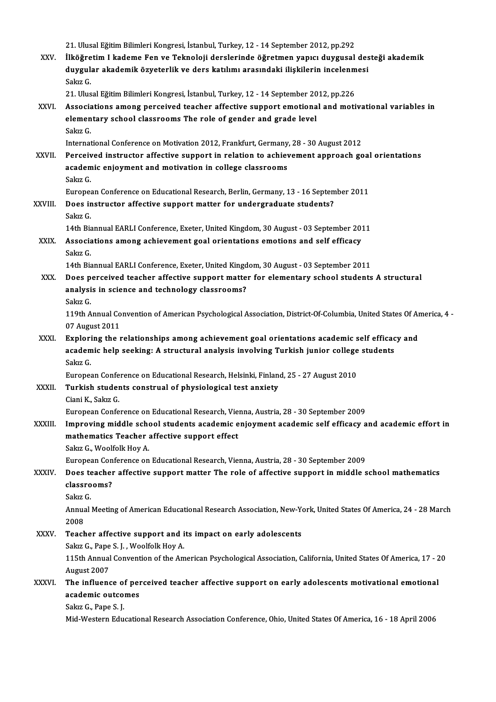21. Ulusal Eğitim Bilimleri Kongresi, İstanbul, Turkey, 12 - 14 September 2012, pp.292<br>İlköğretim I kademe Een ve Teknoloji derekarinde öğretmen yanıcı duyayetl 21. Ulusal Eğitim Bilimleri Kongresi, İstanbul, Turkey, 12 - 14 September 2012, pp.292<br>XXV. İlköğretim I kademe Fen ve Teknoloji derslerinde öğretmen yapıcı duygusal desteği akademik<br>duygular akademik özveterlik ve dere ka 21. Ulusal Eğitim Bilimleri Kongresi, İstanbul, Turkey, 12 - 14 September 2012, pp.292<br>İlköğretim I kademe Fen ve Teknoloji derslerinde öğretmen yapıcı duygusal des<br>duygular akademik özyeterlik ve ders katılımı arasındaki İlk<mark>öğre</mark><br>duygul:<br>Sakız G. duygular akademik özyeterlik ve ders katılımı arasındaki ilişkilerin incelenm<br>Sakız G.<br>21. Ulusal Eğitim Bilimleri Kongresi, İstanbul, Turkey, 12 - 14 September 2012, pp.226<br>Associations among perseived teacher affective s Sakız G.<br>21. Ulusal Eğitim Bilimleri Kongresi, İstanbul, Turkey, 12 - 14 September 2012, pp.226<br>XXVI. Associations among perceived teacher affective support emotional and motivational variables in 21. Ulusal Eğitim Bilimleri Kongresi, İstanbul, Turkey, 12 - 14 September 20<br>Associations among perceived teacher affective support emotiona<br>elementary school classrooms The role of gender and grade level<br>Sakre elementary school classrooms The role of gender and grade level<br>Sakız G. InternationalConference onMotivation2012,Frankfurt,Germany,28 -30August2012 XXVII. Perceived instructor affective support in relation to achievement approach goal orientations International Conference on Motivation 2012, Frankfurt, Germany<br>Perceived instructor affective support in relation to achiev<br>academic enjoyment and motivation in college classrooms<br>Sakra C Percei<mark>v</mark><br>academ<br>Sakız G. Sakız G.<br>European Conference on Educational Research, Berlin, Germany, 13 - 16 September 2011 Sakız G.<br>European Conference on Educational Research, Berlin, Germany, 13 - 16 Septem<br>XXVIII. Does instructor affective support matter for undergraduate students?<br>Selar C Europea<br>Does in<br>Sakız G.<br>14th Bis 1998 instructor affective support matter for undergraduate students?<br>Sakız G.<br>14th Biannual EARLI Conference, Exeter, United Kingdom, 30 August - 03 September 2011<br>Associations among ashievement goal orientations emetions Sakız G.<br>14th Biannual EARLI Conference, Exeter, United Kingdom, 30 August - 03 September 20.<br>XXIX. Associations among achievement goal orientations emotions and self efficacy 14th Bia<br>Associa<br>Sakız G.<br>14th Bia Sakız G.<br>14th Biannual EARLI Conference, Exeter, United Kingdom, 30 August - 03 September 2011 Sakız G.<br>14th Biannual EARLI Conference, Exeter, United Kingdom, 30 August - 03 September 2011<br>XXX. Does perceived teacher affective support matter for elementary school students A structural<br>2008 analysis in science and t 14th Biannual EARLI Conference, Exeter, United Kingd<br>Does perceived teacher affective support matte<br>analysis in science and technology classrooms?<br>Salva C Does p<br>analysi<br>Sakız G.<br>110th A analysis in science and technology classrooms?<br>Sakız G.<br>119th Annual Convention of American Psychological Association, District-Of-Columbia, United States Of America, 4 -<br>07 August 2011 Sakız G.<br>119th Annual Co<br>07 August 2011<br>Exploring the 1 119th Annual Convention of American Psychological Association, District-Of-Columbia, United States Of Ar<br>07 August 2011<br>XXXI. Exploring the relationships among achievement goal orientations academic self efficacy and<br>2004 07 August 2011<br>Exploring the relationships among achievement goal orientations academic self efficac<br>academic help seeking: A structural analysis involving Turkish junior college students<br>SelvaC Explori<br>academ<br>Sakız G. academic help seeking: A structural analysis involving Turkish junior college students<br>Sakız G.<br>European Conference on Educational Research, Helsinki, Finland, 25 - 27 August 2010 Sakız G.<br>European Conference on Educational Research, Helsinki, Finlan<br>XXXII. Turkish students construal of physiological test anxiety European Confe<br><mark>Turkish studer</mark><br>Ciani K., Sakız G.<br>European Confe Ciani K., Sakız G.<br>European Conference on Educational Research, Vienna, Austria, 28 - 30 September 2009 Ciani K., Sakız G.<br>European Conference on Educational Research, Vienna, Austria, 28 - 30 September 2009<br>XXXIII. Improving middle school students academic enjoyment academic self efficacy and academic effort in<br>mathematics European Conference on Educational Research, Vie:<br>Improving middle school students academic e<br>mathematics Teacher affective support effect<br>Selve G. Woolfell: Hoy A Improving middle sche<br>mathematics Teacher<br>Sakız G., Woolfolk Hoy A.<br>European Conference on mathematics Teacher affective support effect<br>Sakız G., Woolfolk Hoy A.<br>European Conference on Educational Research, Vienna, Austria, 28 - 30 September 2009<br>Dess teacher affective support matter The role of affective suppor Sakız G., Woolfolk Hoy A.<br>European Conference on Educational Research, Vienna, Austria, 28 - 30 September 2009<br>XXXIV. Does teacher affective support matter The role of affective support in middle school mathematics European Con<br>Does teacher<br>classrooms?<br>Salaz C Does te<br>classro<br>Sakız G.<br>Annual classrooms?<br>Sakız G.<br>Annual Meeting of American Educational Research Association, New-York, United States Of America, 24 - 28 March<br>2008 Sakız<br>Annua<br>2008<br>Teach Annual Meeting of American Educational Research Association, New-York<br>2008<br>XXXV. Teacher affective support and its impact on early adolescents<br>Salaz C. Bana S. J. Woolfolk Hoy A 2008<br>Teacher affective support and i<br>Sakız G., Pape S. J. , Woolfolk Hoy A.<br>115th Annual Convention of the Am Teacher affective support and its impact on early adolescents<br>Sakız G., Pape S. J. , Woolfolk Hoy A.<br>115th Annual Convention of the American Psychological Association, California, United States Of America, 17 - 20<br>August 2 Sakız G., Pape<br>115th Annual<br>August 2007<br>The influenc 115th Annual Convention of the American Psychological Association, California, United States Of America, 17 - 2<br>August 2007<br>XXXVI. The influence of perceived teacher affective support on early adolescents motivational emot August 2007<br>The influence of per<br>academic outcomes<br>Salus C. Pana S. J The influence of<br>academic outco:<br>Sakız G., Pape S. J.<br>Mid Western Edu **academic outcomes**<br>Sakız G., Pape S. J.<br>Mid-Western Educational Research Association Conference, Ohio, United States Of America, 16 - 18 April 2006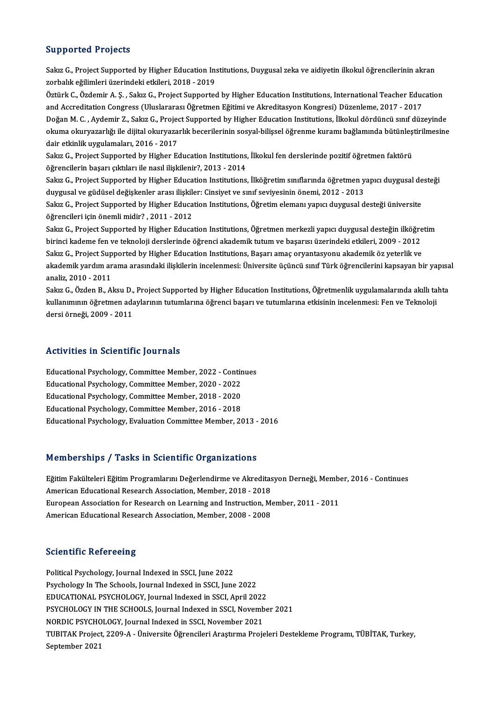### Supported Projects

Supported Projects<br>Sakız G., Project Supported by Higher Education Institutions, Duygusal zeka ve aidiyetin ilkokul öğrencilerinin akran<br>Ferhalık eğilimleri ürerindeki etkileri, 2018–2019 zapportearrrojece<br>Sakız G., Project Supported by Higher Education In:<br>zorbalık eğilimleri üzerindeki etkileri, 2018 - 2019<br>Öztürk G., Özdemir A. S., Sakız G., Project Supportes Sakız G., Project Supported by Higher Education Institutions, Duygusal zeka ve aidiyetin ilkokul öğrencilerinin akran<br>zorbalık eğilimleri üzerindeki etkileri, 2018 - 2019<br>Öztürk C., Özdemir A. Ş. , Sakız G., Project Suppor

zorbalık eğilimleri üzerindeki etkileri, 2018 - 2019<br>Öztürk C., Özdemir A. Ş. , Sakız G., Project Supported by Higher Education Institutions, International Teacher Educ<br>and Accreditation Congress (Uluslararası Öğretmen Eği Öztürk C., Özdemir A. Ş. , Sakız G., Project Supported by Higher Education Institutions, International Teacher Education<br>and Accreditation Congress (Uluslararası Öğretmen Eğitimi ve Akreditasyon Kongresi) Düzenleme, 2017 and Accreditation Congress (Uluslararası Öğretmen Eğitimi ve Akreditasyon Kongresi) Düzenleme, 2017 - 2017<br>Doğan M. C. , Aydemir Z., Sakız G., Project Supported by Higher Education Institutions, İlkokul dördüncü sınıf düze Doğan M. C. , Aydemir Z., Sakız G., Projeo<br>okuma okuryazarlığı ile dijital okuryaza<br>dair etkinlik uygulamaları, 2016 - 2017<br>Seluz G. Brejest Sunnerted bu Hisber Es okuma okuryazarlığı ile dijital okuryazarlık becerilerinin sosyal-bilişsel öğrenme kuramı bağlamında bütünleş<br>dair etkinlik uygulamaları, 2016 - 2017<br>Sakız G., Project Supported by Higher Education Institutions, İlkokul fe

dair etkinlik uygulamaları, 2016 - 2017<br>Sakız G., Project Supported by Higher Education Institutions, İlkokul fen derslerinde pozitif öğretmen faktörü<br>öğrencilerin başarı çıktıları ile nasıl ilişkilenir?, 2013 - 2014 Sakız G., Project Supported by Higher Education Institutions, İlkokul fen derslerinde pozitif öğretmen faktörü<br>öğrencilerin başarı çıktıları ile nasıl ilişkilenir?, 2013 - 2014<br>Sakız G., Project Supported by Higher Educati

öğrencilerin başarı çıktıları ile nasıl ilişkilenir?, 2013 - 2014<br>Sakız G., Project Supported by Higher Education Institutions, İlköğretim sınıflarında öğretmen y<br>duygusal ve güdüsel değişkenler arası ilişkiler: Cinsiyet v Sakız G., Project Supported by Higher Education Institutions, İlköğretim sınıflarında öğretmen yapıcı duygusal de<br>duygusal ve güdüsel değişkenler arası ilişkiler: Cinsiyet ve sınıf seviyesinin önemi, 2012 - 2013<br>Sakız G.,

duygusal ve güdüsel değişkenler arası ilişkil<mark>eri</mark><br>Sakız G., Project Supported by Higher Educa<br>öğrencileri için önemli midir? , 2011 - 2012<br>Sakız G., Project Supported by Higher Educa Sakız G., Project Supported by Higher Education Institutions, Öğretim elemanı yapıcı duygusal desteği üniversite<br>öğrencileri için önemli midir? , 2011 - 2012<br>Sakız G., Project Supported by Higher Education Institutions, Öğ

öğrencileri için önemli midir? , 2011 - 2012<br>Sakız G., Project Supported by Higher Education Institutions, Öğretmen merkezli yapıcı duygusal desteğin ilköğre<br>birinci kademe fen ve teknoloji derslerinde öğrenci akademik tut Sakız G., Project Supported by Higher Education Institutions, Öğretmen merkezli yapıcı duygusal desteğin ilköğre<br>birinci kademe fen ve teknoloji derslerinde öğrenci akademik tutum ve başarısı üzerindeki etkileri, 2009 - 20 birinci kademe fen ve teknoloji derslerinde öğrenci akademik tutum ve başarısı üzerindeki etkileri, 2009 - 2012<br>Sakız G., Project Supported by Higher Education Institutions, Başarı amaç oryantasyonu akademik öz yeterlik ve Sakız G., Project Supported by Higher Education Institutions, Başarı amaç oryantasyonu akademik öz yeterlik ve<br>akademik yardım arama arasındaki ilişkilerin incelenmesi: Üniversite üçüncü sınıf Türk öğrencilerini kapsayan b

akademik yardım arama arasındaki ilişkilerin incelenmesi: Üniversite üçüncü sınıf Türk öğrencilerini kapsayan bir yapısal<br>analiz, 2010 - 2011<br>Sakız G., Özden B., Aksu D., Project Supported by Higher Education Institutions, Sakız G., Özden B., Aksu D., Project Supported by Higher Education Institutions, Öğretmenlik uygulamalarında akıllı tahta dersiörneği,2009 -2011

### Activities in Scientific Journals

Activities in Scientific Journals<br>Educational Psychology, Committee Member, 2022 - Continues<br>Educational Psychology, Committee Member, 2020, 2022 Educational Psychology, Committee Member, 2022 - Contin<br>Educational Psychology, Committee Member, 2020 - 2022<br>Educational Psychology, Committee Member, 2020 - 2020 Educational Psychology, Committee Member, 2022 - Contin<br>Educational Psychology, Committee Member, 2020 - 2022<br>Educational Psychology, Committee Member, 2018 - 2020<br>Educational Psychology, Committee Member, 2016 - 2019 Educational Psychology, Committee Member, 2020 - 2022<br>Educational Psychology, Committee Member, 2018 - 2020<br>Educational Psychology, Committee Member, 2016 - 2018<br>Educational Psychology, Evoluation Committee Member, 20 Educational Psychology, Committee Member, 2016 - 2018<br>Educational Psychology, Evaluation Committee Member, 2013 - 2016

### Memberships / Tasks in Scientific Organizations

Memberships / Tasks in Scientific Organizations<br>Eğitim Fakülteleri Eğitim Programlarını Değerlendirme ve Akreditasyon Derneği, Member, 2016 - Continues<br>American Educational Bessarsh Association Member 2018 - 2019 American<br>Eğitim Fakülteleri Eğitim Programlarını Değerlendirme ve Akreditas<br>American Educational Research Association, Member, 2018 - 2018<br>European Association for Besearch on Learning and Instruction M Eğitim Fakülteleri Eğitim Programlarını Değerlendirme ve Akreditasyon Derneği, Member, American Educational Research Association, Member, 2018 - 2018<br>European Association for Research on Learning and Instruction, Member, 2 American Educational Research Association, Member, 2018 - 2018<br>European Association for Research on Learning and Instruction, Member, 2011 - 2011<br>American Educational Research Association, Member, 2008 - 2008

### **Scientific Refereeing**

Political Psychology, Journal Indexed in SSCI, June 2022 Psychology In The Schools, Journal Indexed in SSCI, June 2022 Political Psychology, Journal Indexed in SSCI, June 2022<br>Psychology In The Schools, Journal Indexed in SSCI, June 2022<br>EDUCATIONAL PSYCHOLOGY, Journal Indexed in SSCI, April 2022<br>PSYCHOLOGY IN THE SCHOOLS, Journal Indexed PSYCHOLOGY IN THE SCHOOLS, Journal Indexed in SSCI, November 2021<br>NORDIC PSYCHOLOGY, Journal Indexed in SSCI, November 2021 EDUCATIONAL PSYCHOLOGY, Journal Indexed in SSCI, April 2022<br>PSYCHOLOGY IN THE SCHOOLS, Journal Indexed in SSCI, November<br>NORDIC PSYCHOLOGY, Journal Indexed in SSCI, November 2021<br>TUBITAK Brajast 2200 A . Universite Öğrensi PSYCHOLOGY IN THE SCHOOLS, Journal Indexed in SSCI, November 2021<br>NORDIC PSYCHOLOGY, Journal Indexed in SSCI, November 2021<br>TUBITAK Project, 2209-A - Üniversite Öğrencileri Araştırma Projeleri Destekleme Programı, TÜBİTAK, NORDIC PSYCHO<br>TUBITAK Project<br>September 2021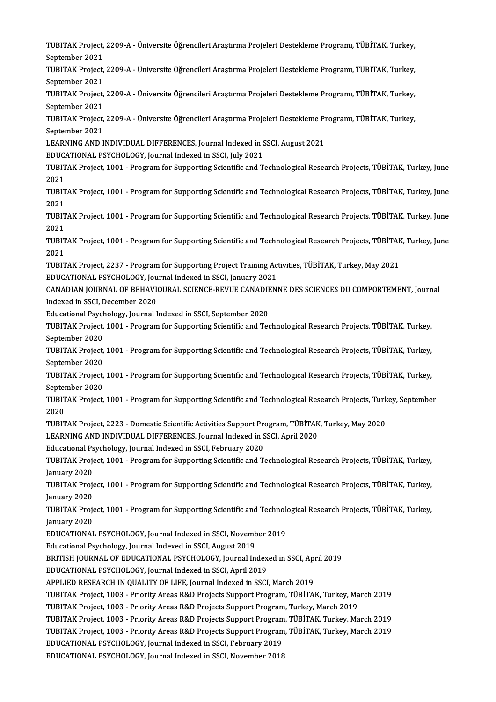TUBITAK Project, 2209-A - Üniversite Öğrencileri Araştırma Projeleri Destekleme Programı, TÜBİTAK, Turkey,<br>Santambar 2021 **TUBITAK Project,<br>September 2021<br>TUBITAK Project** TUBITAK Project, 2209-A - Üniversite Öğrencileri Araştırma Projeleri Destekleme Programı, TÜBİTAK, Turkey,<br>September 2021<br>TUBITAK Project, 2209-A - Üniversite Öğrencileri Araştırma Projeleri Destekleme Programı, TÜBİTAK, T September 2021<br>TUBITAK Project, 2209-A - Üniversite Öğrencileri Araştırma Projeleri Destekleme Programı, TÜBİTAK, Turkey,<br>September 2021 TUBITAK Project, 2209-A - Üniversite Öğrencileri Araştırma Projeleri Destekleme Programı, TÜBİTAK, Turkey,<br>September 2021<br>TUBITAK Project, 2209-A - Üniversite Öğrencileri Araştırma Projeleri Destekleme Programı, TÜBİTAK, T September 2021<br>TUBITAK Project,<br>September 2021<br>TUBITAK Project TUBITAK Project, 2209-A - Üniversite Öğrencileri Araştırma Projeleri Destekleme Programı, TÜBİTAK, Turkey,<br>September 2021<br>TUBITAK Project, 2209-A - Üniversite Öğrencileri Araştırma Projeleri Destekleme Programı, TÜBİTAK, T September 2021<br>TUBITAK Project,<br>September 2021<br>LEARNING AND L TUBITAK Project, 2209-A - Üniversite Öğrencileri Araştırma Projeleri Destekleme Pı<br>September 2021<br>LEARNING AND INDIVIDUAL DIFFERENCES, Journal Indexed in SSCI, August 2021<br>EDUCATIONAL BSVCHOLOCY, Journal Indexed in SSCI, J September 2021<br>LEARNING AND INDIVIDUAL DIFFERENCES, Journal Indexed in S<br>EDUCATIONAL PSYCHOLOGY, Journal Indexed in SSCI, July 2021<br>TURITAK Breject, 1001 - Bregrem for Supperting Scientific and T LEARNING AND INDIVIDUAL DIFFERENCES, Journal Indexed in SSCI, August 2021<br>EDUCATIONAL PSYCHOLOGY, Journal Indexed in SSCI, July 2021<br>TUBITAK Project, 1001 - Program for Supporting Scientific and Technological Research Proj EDUC.<br>TUBIT<br>2021<br>TUBIT TUBITAK Project, 1001 - Program for Supporting Scientific and Technological Research Projects, TÜBİTAK, Turkey, June<br>2021<br>TUBITAK Project, 1001 - Program for Supporting Scientific and Technological Research Projects, TÜBİT 2021<br>TUBIT<br>2021<br>TUBIT TUBITAK Project, 1001 - Program for Supporting Scientific and Technological Research Projects, TÜBİTAK, Turkey, June<br>2021<br>TUBITAK Project, 1001 - Program for Supporting Scientific and Technological Research Projects, TÜBİT 2021<br>TUBITAK Project, 1001 - Program for Supporting Scientific and Technological Research Projects, TÜBİTAK, Turkey, June<br>2021 TUBITAK Project, 1001 - Program for Supporting Scientific and Technological Research Projects, TÜBİTAK, Turkey, June<br>2021<br>TUBITAK Project, 1001 - Program for Supporting Scientific and Technological Research Projects, TÜBİT 2021<br>TUBIT<br>2021<br>TUBIT TUBITAK Project, 1001 - Program for Supporting Scientific and Technological Research Projects, TÜBİTAK<br>2021<br>TUBITAK Project, 2237 - Program for Supporting Project Training Activities, TÜBİTAK, Turkey, May 2021<br>EDUCATIONAL 2021<br>TUBITAK Project, 2237 - Program for Supporting Project Training Ac<br>EDUCATIONAL PSYCHOLOGY, Journal Indexed in SSCI, January 2021<br>CANADIAN JOURNAL OF REHAVIOURAL SCIENCE REVIJE CANADIENI CANADIAN JOURNAL OF BEHAVIOURAL SCIENCE-REVUE CANADIENNE DES SCIENCES DU COMPORTEMENT, Journal<br>Indexed in SSCI, December 2020 EDUCATIONAL PSYCHOLOGY, Journal Indexed in SSCI, January 2021 CANADIAN JOURNAL OF BEHAVIOURAL SCIENCE-REVUE CANADIE<br>Indexed in SSCI, December 2020<br>Educational Psychology, Journal Indexed in SSCI, September 2020<br>TUBITAK Preject 1001 - Pregram for Supporting Scientific and Tea Indexed in SSCI, December 2020<br>Educational Psychology, Journal Indexed in SSCI, September 2020<br>TUBITAK Project, 1001 - Program for Supporting Scientific and Technological Research Projects, TÜBİTAK, Turkey,<br>September 2020 Educational Psych<br>TUBITAK Project,<br>September 2020<br>TUBITAK Project TUBITAK Project, 1001 - Program for Supporting Scientific and Technological Research Projects, TÜBİTAK, Turkey,<br>September 2020<br>TUBITAK Project, 1001 - Program for Supporting Scientific and Technological Research Projects, September 2020<br>TUBITAK Project,<br>September 2020<br>TUBITAK Project TUBITAK Project, 1001 - Program for Supporting Scientific and Technological Research Projects, TÜBİTAK, Turkey,<br>September 2020<br>TUBITAK Project, 1001 - Program for Supporting Scientific and Technological Research Projects, September 2020<br>TUBITAK Project, 1001 - Program for Supporting Scientific and Technological Research Projects, TÜBİTAK, Turkey,<br>September 2020 TUBITAK Project, 1001 - Program for Supporting Scientific and Technological Research Projects, TÜBİTAK, Turkey,<br>September 2020<br>TUBITAK Project, 1001 - Program for Supporting Scientific and Technological Research Projects, Septer<br>TUBIT<br>2020<br>TUBIT TUBITAK Project, 1001 - Program for Supporting Scientific and Technological Research Projects, Turk<br>2020<br>TUBITAK Project, 2223 - Domestic Scientific Activities Support Program, TÜBİTAK, Turkey, May 2020<br>LEARNING AND INDIVI 2020<br>TUBITAK Project, 2223 - Domestic Scientific Activities Support Program, TÜBİTAK<br>LEARNING AND INDIVIDUAL DIFFERENCES, Journal Indexed in SSCI, April 2020<br>Educational Baychology, Journal Indoved in SSCI, February 2020 TUBITAK Project, 2223 - Domestic Scientific Activities Support Pro<br>LEARNING AND INDIVIDUAL DIFFERENCES, Journal Indexed in S<br>Educational Psychology, Journal Indexed in SSCI, February 2020<br>TUBITAK Project, 1001 - Program fo LEARNING AND INDIVIDUAL DIFFERENCES, Journal Indexed in SSCI, April 2020<br>Educational Psychology, Journal Indexed in SSCI, February 2020<br>TUBITAK Project, 1001 - Program for Supporting Scientific and Technological Research P Educational Ps<br>TUBITAK Proje<br>January 2020<br>TUBITAK Proj TUBITAK Project, 1001 - Program for Supporting Scientific and Technological Research Projects, TÜBİTAK, Turkey,<br>January 2020<br>TUBITAK Project, 1001 - Program for Supporting Scientific and Technological Research Projects, TÜ January 2020<br>TUBITAK Proje<br>January 2020<br>TUBITAK Proj TUBITAK Project, 1001 - Program for Supporting Scientific and Technological Research Projects, TÜBİTAK, Turkey,<br>January 2020<br>TUBITAK Project, 1001 - Program for Supporting Scientific and Technological Research Projects, TÜ January 2020<br>TUBITAK Proje<br>January 2020<br>EDUCATIONAL TUBITAK Project, 1001 - Program for Supporting Scientific and Technolo<br>January 2020<br>EDUCATIONAL PSYCHOLOGY, Journal Indexed in SSCI, November 2019<br>Educational Beychology, Journal Indexed in SSCI, August 2019 January 2020<br>EDUCATIONAL PSYCHOLOGY, Journal Indexed in SSCI, Novemb<br>Educational Psychology, Journal Indexed in SSCI, August 2019<br>PRITISH JOURNAL OF EDUCATIONAL RSYCHOLOCY, Journal In EDUCATIONAL PSYCHOLOGY, Journal Indexed in SSCI, November 2019<br>Educational Psychology, Journal Indexed in SSCI, August 2019<br>BRITISH JOURNAL OF EDUCATIONAL PSYCHOLOGY, Journal Indexed in SSCI, April 2019<br>EDUCATIONAL PSYCHOL Educational Psychology, Journal Indexed in SSCI, August 2019<br>BRITISH JOURNAL OF EDUCATIONAL PSYCHOLOGY, Journal Indexed in SSCI, Ap<br>EDUCATIONAL PSYCHOLOGY, Journal Indexed in SSCI, April 2019<br>APPLIED RESEARCH IN QUALITY OF BRITISH JOURNAL OF EDUCATIONAL PSYCHOLOGY, Journal Indexed in SSCI, App<br>EDUCATIONAL PSYCHOLOGY, Journal Indexed in SSCI, April 2019<br>APPLIED RESEARCH IN QUALITY OF LIFE, Journal Indexed in SSCI, March 2019<br>TUBITAK Project 1 EDUCATIONAL PSYCHOLOGY, Journal Indexed in SSCI, April 2019<br>APPLIED RESEARCH IN QUALITY OF LIFE, Journal Indexed in SSCI, March 2019<br>TUBITAK Project, 1003 - Priority Areas R&D Projects Support Program, TÜBİTAK, Turkey, Mar APPLIED RESEARCH IN QUALITY OF LIFE, Journal Indexed in SSCI, March 2019<br>TUBITAK Project, 1003 - Priority Areas R&D Projects Support Program, TÜBİTAK, Turkey, Ma<br>TUBITAK Project, 1003 - Priority Areas R&D Projects Support TUBITAK Project, 1003 - Priority Areas R&D Projects Support Program, TÜBİTAK, Turkey, March 2019<br>TUBITAK Project, 1003 - Priority Areas R&D Projects Support Program, Turkey, March 2019<br>TUBITAK Project, 1003 - Priority Area TUBITAK Project, 1003 - Priority Areas R&D Projects Support Program, Turkey, March 2019<br>TUBITAK Project, 1003 - Priority Areas R&D Projects Support Program, TÜBİTAK, Turkey, March 2019<br>TUBITAK Project, 1003 - Priority Area TUBITAK Project, 1003 - Priority Areas R&D Projects Support Program<br>TUBITAK Project, 1003 - Priority Areas R&D Projects Support Program<br>EDUCATIONAL PSYCHOLOGY, Journal Indexed in SSCI, February 2019<br>EDUCATIONAL PSYCHOLOGY, TUBITAK Project, 1003 - Priority Areas R&D Projects Support Program, TÜBİTAK, Turkey, March 2019<br>EDUCATIONAL PSYCHOLOGY, Journal Indexed in SSCI, February 2019<br>EDUCATIONAL PSYCHOLOGY, Journal Indexed in SSCI, November 2018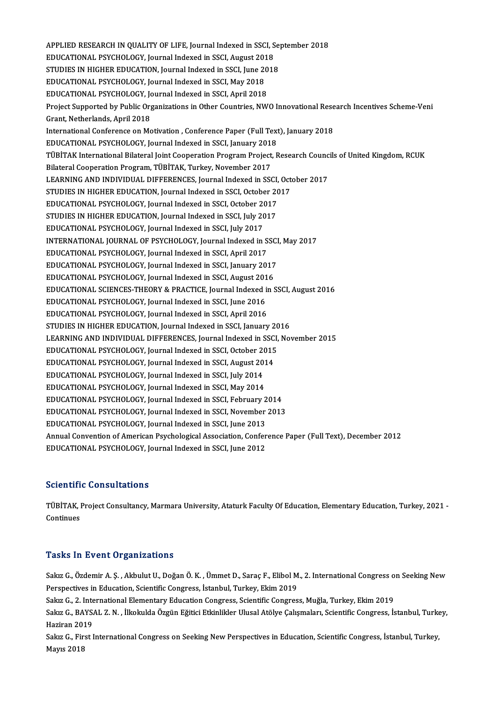APPLIED RESEARCH IN QUALITY OF LIFE, Journal Indexed in SSCI, September 2018<br>FRUGATIONAL REVOU OCY, Journal Indexed in SSCI, August 2018 APPLIED RESEARCH IN QUALITY OF LIFE, Journal Indexed in SSCI, S<br>EDUCATIONAL PSYCHOLOGY, Journal Indexed in SSCI, August 2018<br>STUDIES IN HIGHER EDUCATION, Journal Indexed in SSCI, June 2018 APPLIED RESEARCH IN QUALITY OF LIFE, Journal Indexed in SSCI, Se<br>EDUCATIONAL PSYCHOLOGY, Journal Indexed in SSCI, August 2018<br>STUDIES IN HIGHER EDUCATION, Journal Indexed in SSCI, June 2018<br>EDUCATIONAL BSYCHOLOGY, Journal EDUCATIONAL PSYCHOLOGY, Journal Indexed in SSCI, August 2018<br>STUDIES IN HIGHER EDUCATION, Journal Indexed in SSCI, June 201<br>EDUCATIONAL PSYCHOLOGY, Journal Indexed in SSCI, May 2018 STUDIES IN HIGHER EDUCATION, Journal Indexed in SSCI, June 2018 EDUCATIONAL PSYCHOLOGY, Journal Indexed in SSCI, May 2018<br>EDUCATIONAL PSYCHOLOGY, Journal Indexed in SSCI, April 2018<br>Project Supported by Public Organizations in Other Countries, NWO Innovational Research Incentives Schem EDUCATIONAL PSYCHOLOGY, Journal Indexed in SSCI, April 2018<br>Project Supported by Public Organizations in Other Countries, NWO Innovational Rese<br>Grant, Netherlands, April 2018<br>International Conference on Motivation , Confer Project Supported by Public Organizations in Other Countries, NWO Innovational Rese<br>Grant, Netherlands, April 2018<br>International Conference on Motivation , Conference Paper (Full Text), January 2018<br>EDUCATIONAL BSVCHOLOCY, EDUCATIONAL PSYCHOLOGY, Journal Indexed in SSCI, January 2018 International Conference on Motivation , Conference Paper (Full Text), January 2018<br>EDUCATIONAL PSYCHOLOGY, Journal Indexed in SSCI, January 2018<br>TÜBİTAK International Bilateral Joint Cooperation Program Project, Research EDUCATIONAL PSYCHOLOGY, Journal Indexed in SSCI, January 2011<br>TÜBİTAK International Bilateral Joint Cooperation Program Project,<br>Bilateral Cooperation Program, TÜBİTAK, Turkey, November 2017<br>LEARNING AND INDIVIDHAL DIEEERE TÜBİTAK International Bilateral Joint Cooperation Program Project, Research Counc<br>Bilateral Cooperation Program, TÜBİTAK, Turkey, November 2017<br>LEARNING AND INDIVIDUAL DIFFERENCES, Journal Indexed in SSCI, October 2017<br>STU Bilateral Cooperation Program, TÜBİTAK, Turkey, November 2017<br>LEARNING AND INDIVIDUAL DIFFERENCES, Journal Indexed in SSCI, October 2017<br>STUDIES IN HIGHER EDUCATION, Journal Indexed in SSCI, October 2017 LEARNING AND INDIVIDUAL DIFFERENCES, Journal Indexed in SSCI,<br>STUDIES IN HIGHER EDUCATION, Journal Indexed in SSCI, October 20<br>EDUCATIONAL PSYCHOLOGY, Journal Indexed in SSCI, October 2017<br>STUDIES IN HIGHER EDUCATION, Jour STUDIES IN HIGHER EDUCATION, Journal Indexed in SSCI, October 20<br>EDUCATIONAL PSYCHOLOGY, Journal Indexed in SSCI, October 2017<br>STUDIES IN HIGHER EDUCATION, Journal Indexed in SSCI, July 2017<br>EDUCATIONAL BSYCHOLOGY, Journal EDUCATIONAL PSYCHOLOGY, Journal Indexed in SSCI, October 20<br>STUDIES IN HIGHER EDUCATION, Journal Indexed in SSCI, July 20<br>EDUCATIONAL PSYCHOLOGY, Journal Indexed in SSCI, July 2017<br>INTERNATIONAL JOURNAL OF PSYCHOLOGY, Jour STUDIES IN HIGHER EDUCATION, Journal Indexed in SSCI, July 2017<br>EDUCATIONAL PSYCHOLOGY, Journal Indexed in SSCI, July 2017<br>INTERNATIONAL JOURNAL OF PSYCHOLOGY, Journal Indexed in SSCI, May 2017<br>EDUCATIONAL PSYCHOLOGY, Jour EDUCATIONAL PSYCHOLOGY, Journal Indexed in SSCI, July 2017<br>INTERNATIONAL JOURNAL OF PSYCHOLOGY, Journal Indexed in S<br>EDUCATIONAL PSYCHOLOGY, Journal Indexed in SSCI, April 2017<br>EDUCATIONAL PSYCHOLOGY, Journal Indexed in SS INTERNATIONAL JOURNAL OF PSYCHOLOGY, Journal Indexed in SSCI<br>EDUCATIONAL PSYCHOLOGY, Journal Indexed in SSCI, April 2017<br>EDUCATIONAL PSYCHOLOGY, Journal Indexed in SSCI, January 2017<br>EDUCATIONAL PSYCHOLOGY, Journal Indexed EDUCATIONAL PSYCHOLOGY, Journal Indexed in SSCI, April 2017<br>EDUCATIONAL PSYCHOLOGY, Journal Indexed in SSCI, January 2017<br>EDUCATIONAL PSYCHOLOGY, Journal Indexed in SSCI, August 2016<br>EDUCATIONAL SCIENCES THEODY & PRACTICE EDUCATIONAL SCIENCES-THEORY & PRACTICE, Journal Indexed in SSCI, August 2016<br>EDUCATIONAL PSYCHOLOGY, Journal Indexed in SSCI, June 2016 EDUCATIONAL PSYCHOLOGY, Journal Indexed in SSCI, August 2016 EDUCATIONAL PSYCHOLOGY, Journal Indexed in SSCI, April 2016 STUDIES IN HIGHER EDUCATION, Journal Indexed in SSCI, January 2016 LEARNING AND INDIVIDUAL DIFFERENCES, Journal Indexed in SSCI, November 2015 STUDIES IN HIGHER EDUCATION, Journal Indexed in SSCI, January 20<br>LEARNING AND INDIVIDUAL DIFFERENCES, Journal Indexed in SSCI,<br>EDUCATIONAL PSYCHOLOGY, Journal Indexed in SSCI, October 2015<br>EDUCATIONAL PSYCHOLOGY, Journal I LEARNING AND INDIVIDUAL DIFFERENCES, Journal Indexed in SSC<br>EDUCATIONAL PSYCHOLOGY, Journal Indexed in SSCI, October 2015<br>EDUCATIONAL PSYCHOLOGY, Journal Indexed in SSCI, August 2014<br>EDUCATIONAL PSYCHOLOGY, Journal Indexed EDUCATIONAL PSYCHOLOGY, Journal Indexed in SSCI, October 20<br>EDUCATIONAL PSYCHOLOGY, Journal Indexed in SSCI, August 20<br>EDUCATIONAL PSYCHOLOGY, Journal Indexed in SSCI, July 2014<br>EDUCATIONAL PSYCHOLOGY, Journal Indexed in S EDUCATIONAL PSYCHOLOGY, Journal Indexed in SSCI, August 2014<br>EDUCATIONAL PSYCHOLOGY, Journal Indexed in SSCI, July 2014<br>EDUCATIONAL PSYCHOLOGY, Journal Indexed in SSCI, May 2014 EDUCATIONAL PSYCHOLOGY, Journal Indexed in SSCI, July 2014<br>EDUCATIONAL PSYCHOLOGY, Journal Indexed in SSCI, May 2014<br>EDUCATIONAL PSYCHOLOGY, Journal Indexed in SSCI, February 2014<br>EDUCATIONAL PSYCHOLOGY, Journal Indexed in EDUCATIONAL PSYCHOLOGY, Journal Indexed in SSCI, May 2014<br>EDUCATIONAL PSYCHOLOGY, Journal Indexed in SSCI, February 2014<br>EDUCATIONAL PSYCHOLOGY, Journal Indexed in SSCI, November 2013<br>EDUCATIONAL PSYCHOLOGY, Journal Indexe EDUCATIONAL PSYCHOLOGY, Journal Indexed in SSCI, February 2<br>EDUCATIONAL PSYCHOLOGY, Journal Indexed in SSCI, November<br>EDUCATIONAL PSYCHOLOGY, Journal Indexed in SSCI, June 2013<br>Annual Convention of American Psychological A EDUCATIONAL PSYCHOLOGY, Journal Indexed in SSCI, November 2013<br>EDUCATIONAL PSYCHOLOGY, Journal Indexed in SSCI, June 2013<br>Annual Convention of American Psychological Association, Conference Paper (Full Text), December 2012 EDUCATIONAL PSYCHOLOGY, Journal Indexed in SSCI, June 2013<br>Annual Convention of American Psychological Association, Confer<br>EDUCATIONAL PSYCHOLOGY, Journal Indexed in SSCI, June 2012 EDUCATIONAL PSYCHOLOGY, Journal Indexed in SSCI, June 2012<br>Scientific Consultations

Scie**ntific Consultations**<br>TÜBİTAK, Project Consultancy, Marmara University, Ataturk Faculty Of Education, Elementary Education, Turkey, 2021 -<br>Continues Scientin<br>TÜBİTAK, I<br>Continues **Continues<br>Tasks In Event Organizations** 

Tasks In Event Organizations<br>Sakız G., Özdemir A. Ş. , Akbulut U., Doğan Ö. K. , Ümmet D., Saraç F., Elibol M., 2. International Congress on Seeking New<br>Perspectives in Education, Scientific Congress, İstanbul, Turkey, Eki Perspectives in Education, Scientific Congress, İstanbul, Turkey, Ekim 2019 Sakız G., Özdemir A. Ş. , Akbulut U., Doğan Ö. K. , Ümmet D., Saraç F., Elibol M., 2. International Congress o<br>Perspectives in Education, Scientific Congress, İstanbul, Turkey, Ekim 2019<br>Sakız G., 2. International Elementa

Perspectives in Education, Scientific Congress, İstanbul, Turkey, Ekim 2019<br>Sakız G., 2. International Elementary Education Congress, Scientific Congress, Muğla, Turkey, Ekim 2019<br>Sakız G., BAYSAL Z. N. , İlkokulda Özgün E Sakız G., 2. International Elementary Education Congress, Scientific Congress, Muğla, Turkey, Ekim 2019<br>Sakız G., BAYSAL Z. N. , İlkokulda Özgün Eğitici Etkinlikler Ulusal Atölye Çalışmaları, Scientific Congress, İ<br>Haziran Sakız G., BAYSAL Z. N. , İlkokulda Özgün Eğitici Etkinlikler Ulusal Atölye Çalışmaları, Scientific Congress, İstanbul, Turke<br>Haziran 2019<br>Sakız G., First International Congress on Seeking New Perspectives in Education, Sci

Sakız G., First International Congress on Seeking New Perspectives in Education, Scientific Congress, İstanbul, Turkey,<br>Mayıs 2018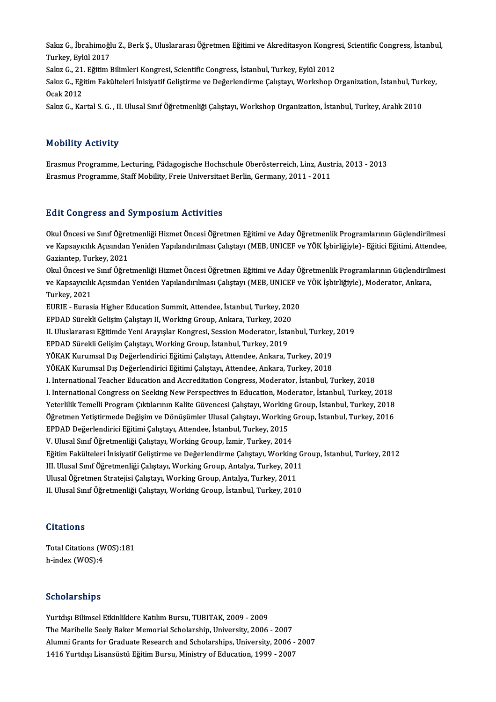Sakız G., İbrahimoğlu Z., Berk Ş., Uluslararası Öğretmen Eğitimi ve Akreditasyon Kongresi, Scientific Congress, İstanbul,<br>Turkay, Frijil 2017 Sakız G., İbrahimoğl<br>Turkey, Eylül 2017<br>Saluz G. 21, Eğitim I Sakız G., İbrahimoğlu Z., Berk Ş., Uluslararası Öğretmen Eğitimi ve Akreditasyon Kongre<br>Turkey, Eylül 2017<br>Sakız G., 21. Eğitim Bilimleri Kongresi, Scientific Congress, İstanbul, Turkey, Eylül 2012<br>Sakız G., Eğitim Fakülte

Turkey, Eylül 2017<br>Sakız G., 21. Eğitim Bilimleri Kongresi, Scientific Congress, İstanbul, Turkey, Eylül 2012<br>Sakız G., Eğitim Fakülteleri İnisiyatif Geliştirme ve Değerlendirme Çalıştayı, Workshop Organization, İstanbul, Sakız G., 21.<br>Sakız G., Eği<br>Ocak 2012<br>Sakız G. Ka Sakız G., Eğitim Fakülteleri İnisiyatif Geliştirme ve Değerlendirme Çalıştayı, Workshop Organization, İstanbul, Tur<br>Ocak 2012<br>Sakız G., Kartal S. G. , II. Ulusal Sınıf Öğretmenliği Çalıştayı, Workshop Organization, İstanbu

Sakız G., Kartal S. G. , II. Ulusal Sınıf Öğretmenliği Çalıştayı, Workshop Organization, İstanbul, Turkey, Aralık 2010<br>Mobility Activity

Mobility Activity<br>Erasmus Programme, Lecturing, Pädagogische Hochschule Oberösterreich, Linz, Austria, 2013 - 2013<br>Erasmus Programme, Staff Mobility, Eroja Universiteet Berlin, Cermany, 2011, 2011 Frobinej Tieerviej<br>Erasmus Programme, Lecturing, Pädagogische Hochschule Oberösterreich, Linz, Aust<br>Erasmus Programme, Staff Mobility, Freie Universitaet Berlin, Germany, 2011 - 2011 Erasmus Programme, Staff Mobility, Freie Universitaet Berlin, Germany, 2011 - 2011<br>Edit Congress and Symposium Activities

Okul Öncesi ve Sınıf Öğretmenliği Hizmet Öncesi Öğretmen Eğitimi ve Aday Öğretmenlik Programlarının Güclendirilmesi vekte Gongress and by mpostam ricervities<br>Okul Öncesi ve Sınıf Öğretmenliği Hizmet Öncesi Öğretmen Eğitimi ve Aday Öğretmenlik Programlarının Güçlendirilmesi<br>Kapsayıcılık Açısından Yeniden Yapılandırılması Çalıştayı (MEB, Okul Öncesi ve Sınıf Öğre<br>ve Kapsayıcılık Açısından<br>Gaziantep, Turkey, 2021<br>Okul Öncesi ve Sınıf Öğre ve Kapsayıcılık Açısından Yeniden Yapılandırılması Çalıştayı (MEB, UNICEF ve YÖK İşbirliğiyle)- Eğitici Eğitimi, Attendee,<br>Gaziantep, Turkey, 2021<br>Okul Öncesi ve Sınıf Öğretmenliği Hizmet Öncesi Öğretmen Eğitimi ve Aday Öğ Gaziantep, Turkey, 2021<br>Okul Öncesi ve Sınıf Öğretmenliği Hizmet Öncesi Öğretmen Eğitimi ve Aday Öğretmenlik Programlarının Güçlendirilr<br>Ve Kapsayıcılık Açısından Yeniden Yapılandırılması Çalıştayı (MEB, UNICEF ve YÖK İşbi Okul Öncesi ve<br>ve Kapsayıcılık<br>Turkey, 2021<br>EUPIE - Euresi ve Kapsayıcılık Açısından Yeniden Yapılandırılması Çalıştayı (MEB, UNICEF ve YÖK İşbirliğiyle), Moderator, Ankara,<br>Turkey, 2021 EURIE - Eurasia Higher Education Summit, Attendee, İstanbul, Turkey, 2020 EURIE - Eurasia Higher Education Summit, Attendee, İstanbul, Turkey, 2020<br>EPDAD Sürekli Gelişim Çalıştayı II, Working Group, Ankara, Turkey, 2020<br>II. Uluslararası Eğitimde Yeni Arayışlar Kongresi, Session Moderator, İstanb EPDAD Sürekli Gelişim Çalıştayı II, Working Group, Ankara, Turkey, 2020<br>II. Uluslararası Eğitimde Yeni Arayışlar Kongresi, Session Moderator, İstanbul, Turkey<br>EPDAD Sürekli Gelişim Çalıştayı, Working Group, İstanbul, Turke II. Uluslararası Eğitimde Yeni Arayışlar Kongresi, Session Moderator, İstanbul, Turkey,<br>EPDAD Sürekli Gelişim Çalıştayı, Working Group, İstanbul, Turkey, 2019<br>YÖKAK Kurumsal Dış Değerlendirici Eğitimi Çalıştayı, Attendee, EPDAD Sürekli Gelişim Çalıştayı, Working Group, İstanbul, Turkey, 2019<br>YÖKAK Kurumsal Dış Değerlendirici Eğitimi Çalıştayı, Attendee, Ankara, Turkey, 2019<br>YÖKAK Kurumsal Dış Değerlendirici Eğitimi Çalıştayı, Attendee, Anka YÖKAK Kurumsal Dış Değerlendirici Eğitimi Çalıştayı, Attendee, Ankara, Turkey, 2019<br>YÖKAK Kurumsal Dış Değerlendirici Eğitimi Çalıştayı, Attendee, Ankara, Turkey, 2018<br>I. International Teacher Education and Accreditation C I. International Teacher Education and Accreditation Congress, Moderator, İstanbul, Turkey, 2018<br>I. International Congress on Seeking New Perspectives in Education, Moderator, İstanbul, Turkey, 2018 I. International Teacher Education and Accreditation Congress, Moderator, İstanbul, Turkey, 2018<br>I. International Congress on Seeking New Perspectives in Education, Moderator, İstanbul, Turkey, 2018<br>Yeterlilik Temelli Prog I. International Congress on Seeking New Perspectives in Education, Moderator, İstanbul, Turkey, 2018<br>Yeterlilik Temelli Program Çıktılarının Kalite Güvencesi Çalıştayı, Working Group, İstanbul, Turkey, 2018<br>Öğretmen Yetiş Yeterlilik Temelli Program Çıktılarının Kalite Güvencesi Çalıştayı, Working<br>Öğretmen Yetiştirmede Değişim ve Dönüşümler Ulusal Çalıştayı, Working<br>EPDAD Değerlendirici Eğitimi Çalıştayı, Attendee, İstanbul, Turkey, 2015<br>V. Öğretmen Yetiştirmede Değişim ve Dönüşümler Ulusal Çalıştayı, Working (<br>EPDAD Değerlendirici Eğitimi Çalıştayı, Attendee, İstanbul, Turkey, 2015<br>V. Ulusal Sınıf Öğretmenliği Çalıştayı, Working Group, İzmir, Turkey, 2014<br>Fğ EPDAD Değerlendirici Eğitimi Çalıştayı, Attendee, İstanbul, Turkey, 2015<br>V. Ulusal Sınıf Öğretmenliği Çalıştayı, Working Group, İzmir, Turkey, 2014<br>Eğitim Fakülteleri İnisiyatif Geliştirme ve Değerlendirme Çalıştayı, Worki V. Ulusal Sınıf Öğretmenliği Çalıştayı, Working Group, İzmir, Turkey, 2014<br>Eğitim Fakülteleri İnisiyatif Geliştirme ve Değerlendirme Çalıştayı, Working G:<br>III. Ulusal Sınıf Öğretmenliği Çalıştayı, Working Group, Antalya, T Eğitim Fakülteleri İnisiyatif Geliştirme ve Değerlendirme Çalıştayı, Working<br>III. Ulusal Sınıf Öğretmenliği Çalıştayı, Working Group, Antalya, Turkey, 2011<br>Ulusal Öğretmen Stratejisi Çalıştayı, Working Group, Antalya, Turk III. Ulusal Sınıf Öğretmenliği Çalıştayı, Working Group, Antalya, Turkey, 2011<br>Ulusal Öğretmen Stratejisi Çalıştayı, Working Group, Antalya, Turkey, 2011<br>II. Ulusal Sınıf Öğretmenliği Çalıştayı, Working Group, İstanbul, Tu II. Ulusal Sınıf Öğretmenliği Çalıştayı, Working Group, İstanbul, Turkey, 2010<br>Citations

Total Citations (WOS):181 h-index (WOS):4

### Scholarships

Yurtdışı Bilimsel Etkinliklere Katılım Bursu, TUBITAK, 2009 - 2009 The Maribelle Seely Baker Memorial Scholarship, University, 2006 - 2007 Yurtdışı Bilimsel Etkinliklere Katılım Bursu, TUBITAK, 2009 - 2009<br>The Maribelle Seely Baker Memorial Scholarship, University, 2006 - 2007<br>Alumni Grants for Graduate Research and Scholarships, University, 2006 - 2007<br>1416 The Maribelle Seely Baker Memorial Scholarship, University, 2006 - 2007<br>Alumni Grants for Graduate Research and Scholarships, University, 2006 -<br>1416 Yurtdışı Lisansüstü Eğitim Bursu, Ministry of Education, 1999 - 2007